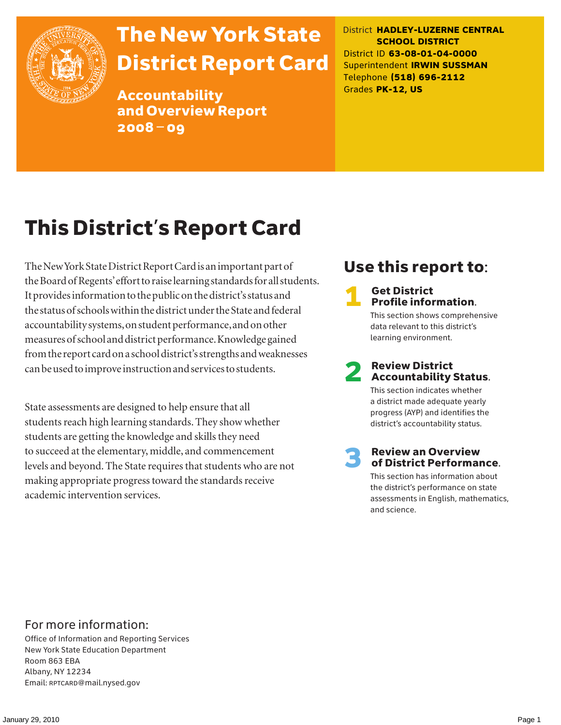

## The New York State District Report Card

Accountability and Overview Report 2008–09

District **HADLEY-LUZERNE CENTRAL SCHOOL DISTRICT** District ID **63-08-01-04-0000** Superintendent **IRWIN SUSSMAN** Telephone **(518) 696-2112** Grades **PK-12, US**

## This District's Report Card

The New York State District Report Card is an important part of the Board of Regents' effort to raise learning standards for all students. It provides information to the public on the district's status and the status of schools within the district under the State and federal accountability systems, on student performance, and on other measures of school and district performance. Knowledge gained from the report card on a school district's strengths and weaknesses can be used to improve instruction and services to students.

State assessments are designed to help ensure that all students reach high learning standards. They show whether students are getting the knowledge and skills they need to succeed at the elementary, middle, and commencement levels and beyond. The State requires that students who are not making appropriate progress toward the standards receive academic intervention services.

### Use this report to:

#### **Get District** Profile information.

This section shows comprehensive data relevant to this district's learning environment.

# **2** Review District<br>Accountability Status.

This section indicates whether a district made adequate yearly progress (AYP) and identifies the district's accountability status.

## **3** Review an Overview<br>
of District Performance.

This section has information about the district's performance on state assessments in English, mathematics, and science.

### For more information:

Office of Information and Reporting Services New York State Education Department Room 863 EBA Albany, NY 12234 Email: RPTCARD@mail.nysed.gov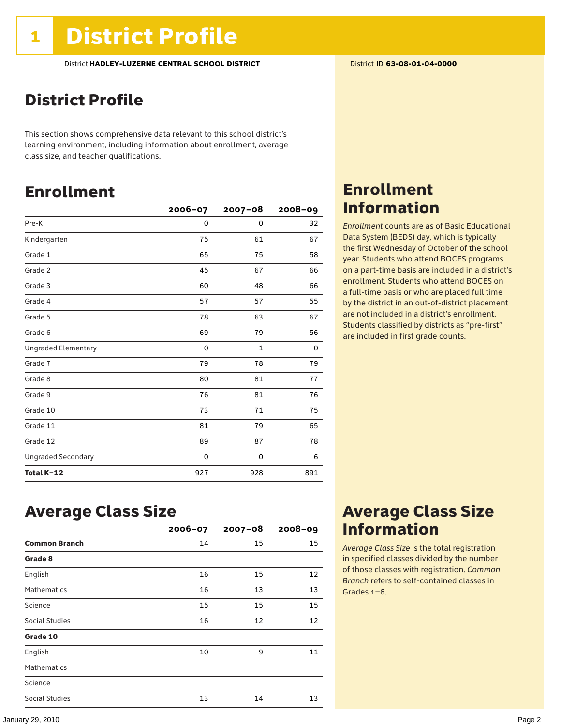### District Profile

This section shows comprehensive data relevant to this school district's learning environment, including information about enrollment, average class size, and teacher qualifications.

### Enrollment

|                            | $2006 - 07$ | $2007 - 08$  | $2008 - 09$ |
|----------------------------|-------------|--------------|-------------|
| Pre-K                      | 0           | $\mathbf 0$  | 32          |
| Kindergarten               | 75          | 61           | 67          |
| Grade 1                    | 65          | 75           | 58          |
| Grade 2                    | 45          | 67           | 66          |
| Grade 3                    | 60          | 48           | 66          |
| Grade 4                    | 57          | 57           | 55          |
| Grade 5                    | 78          | 63           | 67          |
| Grade 6                    | 69          | 79           | 56          |
| <b>Ungraded Elementary</b> | 0           | $\mathbf{1}$ | 0           |
| Grade 7                    | 79          | 78           | 79          |
| Grade 8                    | 80          | 81           | 77          |
| Grade 9                    | 76          | 81           | 76          |
| Grade 10                   | 73          | 71           | 75          |
| Grade 11                   | 81          | 79           | 65          |
| Grade 12                   | 89          | 87           | 78          |
| <b>Ungraded Secondary</b>  | 0           | 0            | 6           |
| Total K-12                 | 927         | 928          | 891         |

### Enrollment Information

*Enrollment* counts are as of Basic Educational Data System (BEDS) day, which is typically the first Wednesday of October of the school year. Students who attend BOCES programs on a part-time basis are included in a district's enrollment. Students who attend BOCES on a full-time basis or who are placed full time by the district in an out-of-district placement are not included in a district's enrollment. Students classified by districts as "pre-first" are included in first grade counts.

### Average Class Size

|                      | $2006 - 07$ | $2007 - 08$ | $2008 - 09$ |
|----------------------|-------------|-------------|-------------|
| <b>Common Branch</b> | 14          | 15          | 15          |
| Grade 8              |             |             |             |
| English              | 16          | 15          | 12          |
| <b>Mathematics</b>   | 16          | 13          | 13          |
| Science              | 15          | 15          | 15          |
| Social Studies       | 16          | 12          | 12          |
| Grade 10             |             |             |             |
| English              | 10          | 9           | 11          |
| <b>Mathematics</b>   |             |             |             |
| Science              |             |             |             |
| Social Studies       | 13          | 14          | 13          |

### Average Class Size Information

*Average Class Size* is the total registration in specified classes divided by the number of those classes with registration. *Common Branch* refers to self-contained classes in Grades 1–6.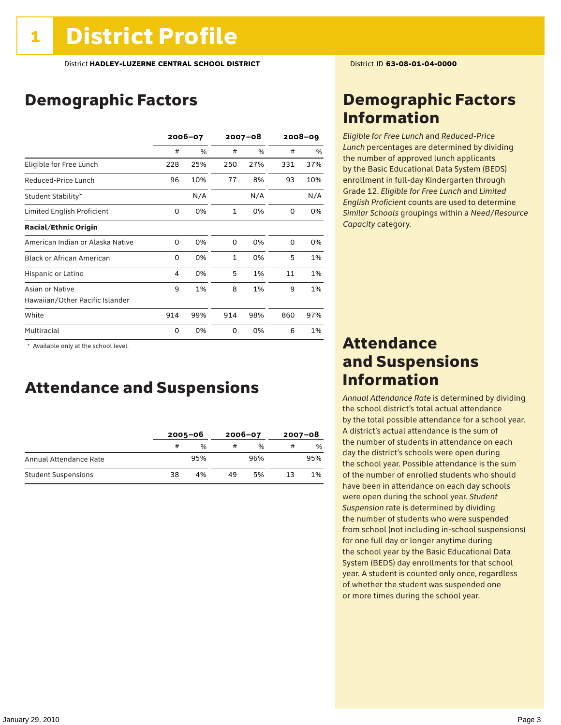### Demographic Factors

|                                  | $2006 - 07$ |     | $2007 - 08$  |      | $2008 - 09$ |      |
|----------------------------------|-------------|-----|--------------|------|-------------|------|
|                                  | #           | %   | #            | $\%$ | #           | $\%$ |
| Eligible for Free Lunch          | 228         | 25% | 250          | 27%  | 331         | 37%  |
| Reduced-Price Lunch              | 96          | 10% | 77           | 8%   | 93          | 10%  |
| Student Stability*               |             | N/A |              | N/A  |             | N/A  |
| Limited English Proficient       | 0           | 0%  | 1            | 0%   | 0           | 0%   |
| <b>Racial/Ethnic Origin</b>      |             |     |              |      |             |      |
| American Indian or Alaska Native | 0           | 0%  | $\Omega$     | 0%   | $\Omega$    | 0%   |
| <b>Black or African American</b> | 0           | 0%  | $\mathbf{1}$ | 0%   | 5           | 1%   |
| Hispanic or Latino               | 4           | 0%  | 5            | 1%   | 11          | 1%   |
| Asian or Native                  | 9           | 1%  | 8            | 1%   | 9           | 1%   |
| Hawaiian/Other Pacific Islander  |             |     |              |      |             |      |
| White                            | 914         | 99% | 914          | 98%  | 860         | 97%  |
| Multiracial                      | 0           | 0%  | 0            | 0%   | 6           | 1%   |

\* Available only at the school level.

### Attendance and Suspensions

|                            |    | $2005 - 06$   |    | $2006 - 07$   | $2007 - 08$ |               |
|----------------------------|----|---------------|----|---------------|-------------|---------------|
|                            | #  | $\frac{1}{2}$ | #  | $\frac{0}{0}$ | #           | $\frac{0}{0}$ |
| Annual Attendance Rate     |    | 95%           |    | 96%           |             | 95%           |
| <b>Student Suspensions</b> | 38 | 4%            | 49 | 5%            | 13          | 1%            |

### Demographic Factors Information

*Eligible for Free Lunch* and *Reduced*-*Price Lunch* percentages are determined by dividing the number of approved lunch applicants by the Basic Educational Data System (BEDS) enrollment in full-day Kindergarten through Grade 12. *Eligible for Free Lunch* and *Limited English Proficient* counts are used to determine *Similar Schools* groupings within a *Need*/*Resource Capacity* category.

### Attendance and Suspensions Information

*Annual Attendance Rate* is determined by dividing the school district's total actual attendance by the total possible attendance for a school year. A district's actual attendance is the sum of the number of students in attendance on each day the district's schools were open during the school year. Possible attendance is the sum of the number of enrolled students who should have been in attendance on each day schools were open during the school year. *Student Suspension* rate is determined by dividing the number of students who were suspended from school (not including in-school suspensions) for one full day or longer anytime during the school year by the Basic Educational Data System (BEDS) day enrollments for that school year. A student is counted only once, regardless of whether the student was suspended one or more times during the school year.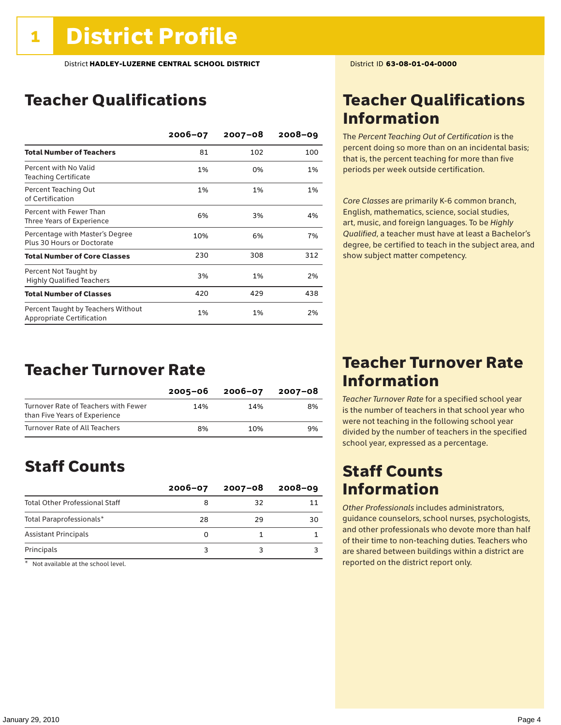### Teacher Qualifications

|                                                                 | $2006 - 07$ | $2007 - 08$ | $2008 - 09$ |
|-----------------------------------------------------------------|-------------|-------------|-------------|
| <b>Total Number of Teachers</b>                                 | 81          | 102         | 100         |
| Percent with No Valid<br><b>Teaching Certificate</b>            | 1%          | 0%          | 1%          |
| Percent Teaching Out<br>of Certification                        | 1%          | 1%          | 1%          |
| Percent with Fewer Than<br>Three Years of Experience            | 6%          | 3%          | 4%          |
| Percentage with Master's Degree<br>Plus 30 Hours or Doctorate   | 10%         | 6%          | 7%          |
| <b>Total Number of Core Classes</b>                             | 230         | 308         | 312         |
| Percent Not Taught by<br><b>Highly Qualified Teachers</b>       | 3%          | 1%          | 2%          |
| <b>Total Number of Classes</b>                                  | 420         | 429         | 438         |
| Percent Taught by Teachers Without<br>Appropriate Certification | 1%          | 1%          | 2%          |

### Teacher Turnover Rate

|                                                                       | 2005–06 | 2006-07 | 2007-08 |
|-----------------------------------------------------------------------|---------|---------|---------|
| Turnover Rate of Teachers with Fewer<br>than Five Years of Experience | 14%     | 14%     | 8%      |
| Turnover Rate of All Teachers                                         | 8%      | 10%     | 9%      |

### Staff Counts

|                                       | $2006 - 07$ | $2007 - 08$ | $2008 - 09$ |
|---------------------------------------|-------------|-------------|-------------|
| <b>Total Other Professional Staff</b> |             | 32          |             |
| Total Paraprofessionals*              | 28          | 29          | 30          |
| <b>Assistant Principals</b>           |             |             |             |
| Principals                            |             |             |             |

 $*$  Not available at the school level.

### Teacher Qualifications Information

The *Percent Teaching Out of Certification* is the percent doing so more than on an incidental basis; that is, the percent teaching for more than five periods per week outside certification.

*Core Classes* are primarily K-6 common branch, English, mathematics, science, social studies, art, music, and foreign languages. To be *Highly Qualified*, a teacher must have at least a Bachelor's degree, be certified to teach in the subject area, and show subject matter competency.

### Teacher Turnover Rate Information

*Teacher Turnover Rate* for a specified school year is the number of teachers in that school year who were not teaching in the following school year divided by the number of teachers in the specified school year, expressed as a percentage.

### Staff Counts Information

*Other Professionals* includes administrators, guidance counselors, school nurses, psychologists, and other professionals who devote more than half of their time to non-teaching duties. Teachers who are shared between buildings within a district are reported on the district report only.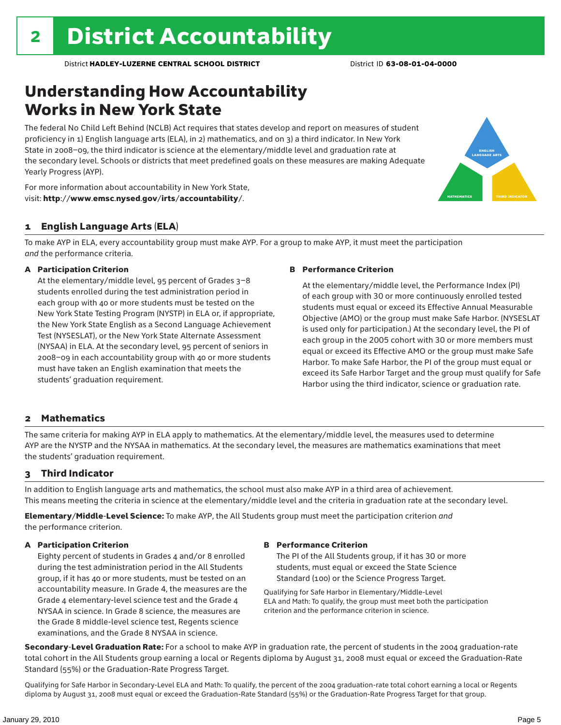### Understanding How Accountability Works in New York State

The federal No Child Left Behind (NCLB) Act requires that states develop and report on measures of student proficiency in 1) English language arts (ELA), in 2) mathematics, and on 3) a third indicator. In New York State in 2008–09, the third indicator is science at the elementary/middle level and graduation rate at the secondary level. Schools or districts that meet predefined goals on these measures are making Adequate Yearly Progress (AYP).



For more information about accountability in New York State, visit: http://www.emsc.nysed.gov/irts/accountability/.

#### 1 English Language Arts (ELA)

To make AYP in ELA, every accountability group must make AYP. For a group to make AYP, it must meet the participation *and* the performance criteria.

#### A Participation Criterion

At the elementary/middle level, 95 percent of Grades 3–8 students enrolled during the test administration period in each group with 40 or more students must be tested on the New York State Testing Program (NYSTP) in ELA or, if appropriate, the New York State English as a Second Language Achievement Test (NYSESLAT), or the New York State Alternate Assessment (NYSAA) in ELA. At the secondary level, 95 percent of seniors in 2008–09 in each accountability group with 40 or more students must have taken an English examination that meets the students' graduation requirement.

#### B Performance Criterion

At the elementary/middle level, the Performance Index (PI) of each group with 30 or more continuously enrolled tested students must equal or exceed its Effective Annual Measurable Objective (AMO) or the group must make Safe Harbor. (NYSESLAT is used only for participation.) At the secondary level, the PI of each group in the 2005 cohort with 30 or more members must equal or exceed its Effective AMO or the group must make Safe Harbor. To make Safe Harbor, the PI of the group must equal or exceed its Safe Harbor Target and the group must qualify for Safe Harbor using the third indicator, science or graduation rate.

#### 2 Mathematics

The same criteria for making AYP in ELA apply to mathematics. At the elementary/middle level, the measures used to determine AYP are the NYSTP and the NYSAA in mathematics. At the secondary level, the measures are mathematics examinations that meet the students' graduation requirement.

#### 3 Third Indicator

In addition to English language arts and mathematics, the school must also make AYP in a third area of achievement. This means meeting the criteria in science at the elementary/middle level and the criteria in graduation rate at the secondary level.

Elementary/Middle-Level Science: To make AYP, the All Students group must meet the participation criterion *and* the performance criterion.

#### A Participation Criterion

Eighty percent of students in Grades 4 and/or 8 enrolled during the test administration period in the All Students group, if it has 40 or more students, must be tested on an accountability measure. In Grade 4, the measures are the Grade 4 elementary-level science test and the Grade 4 NYSAA in science. In Grade 8 science, the measures are the Grade 8 middle-level science test, Regents science examinations, and the Grade 8 NYSAA in science.

#### B Performance Criterion

The PI of the All Students group, if it has 30 or more students, must equal or exceed the State Science Standard (100) or the Science Progress Target.

Qualifying for Safe Harbor in Elementary/Middle-Level ELA and Math: To qualify, the group must meet both the participation criterion and the performance criterion in science.

Secondary-Level Graduation Rate: For a school to make AYP in graduation rate, the percent of students in the 2004 graduation-rate total cohort in the All Students group earning a local or Regents diploma by August 31, 2008 must equal or exceed the Graduation-Rate Standard (55%) or the Graduation-Rate Progress Target.

Qualifying for Safe Harbor in Secondary-Level ELA and Math: To qualify, the percent of the 2004 graduation-rate total cohort earning a local or Regents diploma by August 31, 2008 must equal or exceed the Graduation-Rate Standard (55%) or the Graduation-Rate Progress Target for that group.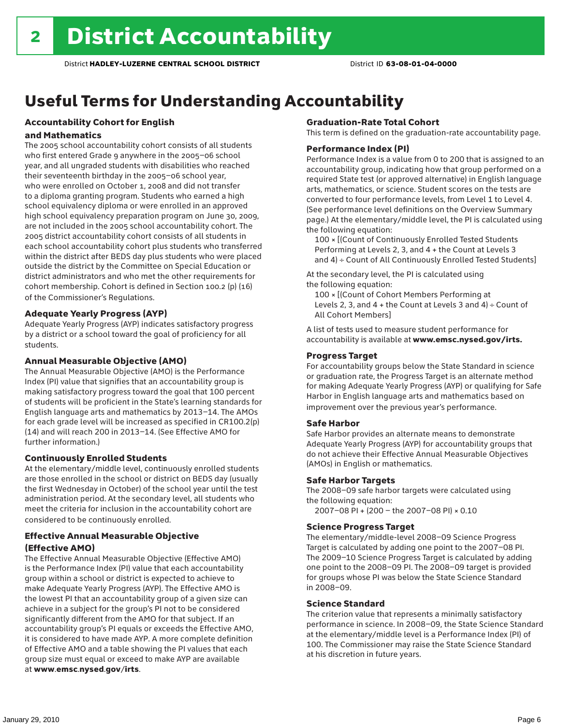## Useful Terms for Understanding Accountability

### Accountability Cohort for English

#### and Mathematics

The 2005 school accountability cohort consists of all students who first entered Grade 9 anywhere in the 2005–06 school year, and all ungraded students with disabilities who reached their seventeenth birthday in the 2005–06 school year, who were enrolled on October 1, 2008 and did not transfer to a diploma granting program. Students who earned a high school equivalency diploma or were enrolled in an approved high school equivalency preparation program on June 30, 2009, are not included in the 2005 school accountability cohort. The 2005 district accountability cohort consists of all students in each school accountability cohort plus students who transferred within the district after BEDS day plus students who were placed outside the district by the Committee on Special Education or district administrators and who met the other requirements for cohort membership. Cohort is defined in Section 100.2 (p) (16) of the Commissioner's Regulations.

#### Adequate Yearly Progress (AYP)

Adequate Yearly Progress (AYP) indicates satisfactory progress by a district or a school toward the goal of proficiency for all students.

#### Annual Measurable Objective (AMO)

The Annual Measurable Objective (AMO) is the Performance Index (PI) value that signifies that an accountability group is making satisfactory progress toward the goal that 100 percent of students will be proficient in the State's learning standards for English language arts and mathematics by 2013–14. The AMOs for each grade level will be increased as specified in CR100.2(p) (14) and will reach 200 in 2013–14. (See Effective AMO for further information.)

#### Continuously Enrolled Students

At the elementary/middle level, continuously enrolled students are those enrolled in the school or district on BEDS day (usually the first Wednesday in October) of the school year until the test administration period. At the secondary level, all students who meet the criteria for inclusion in the accountability cohort are considered to be continuously enrolled.

#### Effective Annual Measurable Objective (Effective AMO)

The Effective Annual Measurable Objective (Effective AMO) is the Performance Index (PI) value that each accountability group within a school or district is expected to achieve to make Adequate Yearly Progress (AYP). The Effective AMO is the lowest PI that an accountability group of a given size can achieve in a subject for the group's PI not to be considered significantly different from the AMO for that subject. If an accountability group's PI equals or exceeds the Effective AMO, it is considered to have made AYP. A more complete definition of Effective AMO and a table showing the PI values that each group size must equal or exceed to make AYP are available at www.emsc.nysed.gov/irts.

#### Graduation-Rate Total Cohort

This term is defined on the graduation-rate accountability page.

#### Performance Index (PI)

Performance Index is a value from 0 to 200 that is assigned to an accountability group, indicating how that group performed on a required State test (or approved alternative) in English language arts, mathematics, or science. Student scores on the tests are converted to four performance levels, from Level 1 to Level 4. (See performance level definitions on the Overview Summary page.) At the elementary/middle level, the PI is calculated using the following equation:

100 × [(Count of Continuously Enrolled Tested Students Performing at Levels 2, 3, and 4 + the Count at Levels 3 and 4) ÷ Count of All Continuously Enrolled Tested Students]

At the secondary level, the PI is calculated using the following equation:

100 × [(Count of Cohort Members Performing at Levels 2, 3, and  $4 +$  the Count at Levels 3 and  $4$ ) ÷ Count of All Cohort Members]

A list of tests used to measure student performance for accountability is available at www.emsc.nysed.gov/irts.

#### Progress Target

For accountability groups below the State Standard in science or graduation rate, the Progress Target is an alternate method for making Adequate Yearly Progress (AYP) or qualifying for Safe Harbor in English language arts and mathematics based on improvement over the previous year's performance.

#### Safe Harbor

Safe Harbor provides an alternate means to demonstrate Adequate Yearly Progress (AYP) for accountability groups that do not achieve their Effective Annual Measurable Objectives (AMOs) in English or mathematics.

#### Safe Harbor Targets

The 2008–09 safe harbor targets were calculated using the following equation:

2007–08 PI + (200 – the 2007–08 PI) × 0.10

#### Science Progress Target

The elementary/middle-level 2008–09 Science Progress Target is calculated by adding one point to the 2007–08 PI. The 2009–10 Science Progress Target is calculated by adding one point to the 2008–09 PI. The 2008–09 target is provided for groups whose PI was below the State Science Standard in 2008–09.

#### Science Standard

The criterion value that represents a minimally satisfactory performance in science. In 2008–09, the State Science Standard at the elementary/middle level is a Performance Index (PI) of 100. The Commissioner may raise the State Science Standard at his discretion in future years.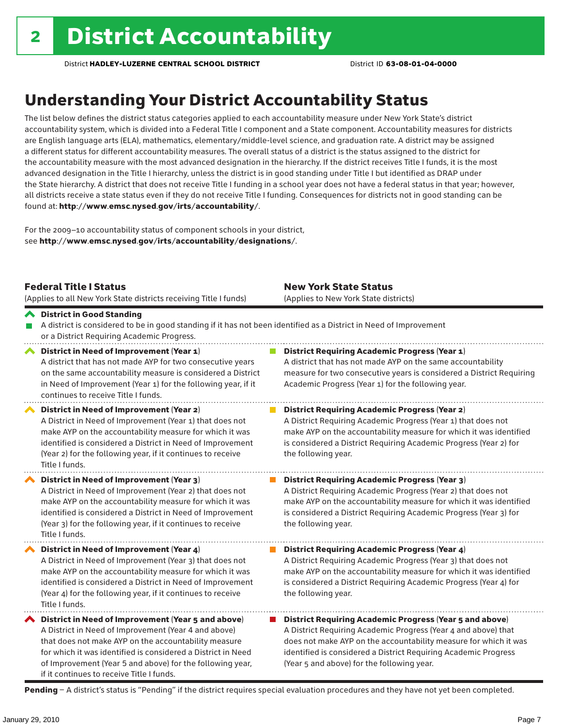### Understanding Your District Accountability Status

The list below defines the district status categories applied to each accountability measure under New York State's district accountability system, which is divided into a Federal Title I component and a State component. Accountability measures for districts are English language arts (ELA), mathematics, elementary/middle-level science, and graduation rate. A district may be assigned a different status for different accountability measures. The overall status of a district is the status assigned to the district for the accountability measure with the most advanced designation in the hierarchy. If the district receives Title I funds, it is the most advanced designation in the Title I hierarchy, unless the district is in good standing under Title I but identified as DRAP under the State hierarchy. A district that does not receive Title I funding in a school year does not have a federal status in that year; however, all districts receive a state status even if they do not receive Title I funding. Consequences for districts not in good standing can be found at: http://www.emsc.nysed.gov/irts/accountability/.

For the 2009–10 accountability status of component schools in your district, see http://www.emsc.nysed.gov/irts/accountability/designations/.

|                       | <b>Federal Title I Status</b><br>(Applies to all New York State districts receiving Title I funds)                                                                                                                                                                                                                                             | <b>New York State Status</b><br>(Applies to New York State districts)                                                                                                                                                                                                                                                 |
|-----------------------|------------------------------------------------------------------------------------------------------------------------------------------------------------------------------------------------------------------------------------------------------------------------------------------------------------------------------------------------|-----------------------------------------------------------------------------------------------------------------------------------------------------------------------------------------------------------------------------------------------------------------------------------------------------------------------|
|                       | ← District in Good Standing<br>A district is considered to be in good standing if it has not been identified as a District in Need of Improvement<br>or a District Requiring Academic Progress.                                                                                                                                                |                                                                                                                                                                                                                                                                                                                       |
| $\blacktriangleright$ | District in Need of Improvement (Year 1)<br>A district that has not made AYP for two consecutive years<br>on the same accountability measure is considered a District<br>in Need of Improvement (Year 1) for the following year, if it<br>continues to receive Title I funds.                                                                  | <b>District Requiring Academic Progress (Year 1)</b><br>A district that has not made AYP on the same accountability<br>measure for two consecutive years is considered a District Requiring<br>Academic Progress (Year 1) for the following year.                                                                     |
|                       | District in Need of Improvement (Year 2)<br>A District in Need of Improvement (Year 1) that does not<br>make AYP on the accountability measure for which it was<br>identified is considered a District in Need of Improvement<br>(Year 2) for the following year, if it continues to receive<br>Title I funds.                                 | <b>District Requiring Academic Progress (Year 2)</b><br>A District Requiring Academic Progress (Year 1) that does not<br>make AYP on the accountability measure for which it was identified<br>is considered a District Requiring Academic Progress (Year 2) for<br>the following year.                               |
|                       | District in Need of Improvement (Year 3)<br>A District in Need of Improvement (Year 2) that does not<br>make AYP on the accountability measure for which it was<br>identified is considered a District in Need of Improvement<br>(Year 3) for the following year, if it continues to receive<br>Title I funds.                                 | <b>District Requiring Academic Progress (Year 3)</b><br>A District Requiring Academic Progress (Year 2) that does not<br>make AYP on the accountability measure for which it was identified<br>is considered a District Requiring Academic Progress (Year 3) for<br>the following year.                               |
|                       | District in Need of Improvement (Year 4)<br>A District in Need of Improvement (Year 3) that does not<br>make AYP on the accountability measure for which it was<br>identified is considered a District in Need of Improvement<br>(Year 4) for the following year, if it continues to receive<br>Title I funds.                                 | <b>District Requiring Academic Progress (Year 4)</b><br>A District Requiring Academic Progress (Year 3) that does not<br>make AYP on the accountability measure for which it was identified<br>is considered a District Requiring Academic Progress (Year 4) for<br>the following year.                               |
|                       | ◆ District in Need of Improvement (Year 5 and above)<br>A District in Need of Improvement (Year 4 and above)<br>that does not make AYP on the accountability measure<br>for which it was identified is considered a District in Need<br>of Improvement (Year 5 and above) for the following year,<br>if it continues to receive Title I funds. | <b>District Requiring Academic Progress (Year 5 and above)</b><br>A District Requiring Academic Progress (Year 4 and above) that<br>does not make AYP on the accountability measure for which it was<br>identified is considered a District Requiring Academic Progress<br>(Year 5 and above) for the following year. |

Pending - A district's status is "Pending" if the district requires special evaluation procedures and they have not yet been completed.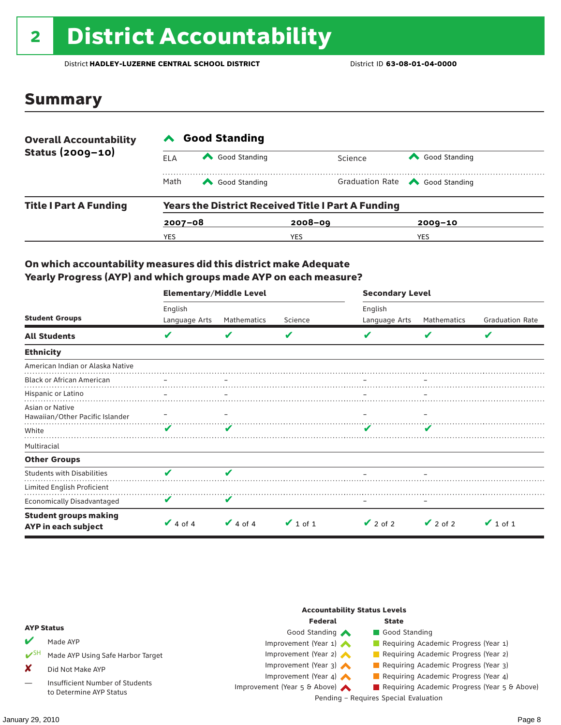## 2 District Accountability

District **HADLEY-LUZERNE CENTRAL SCHOOL DISTRICT** District ID **63-08-01-04-0000**

### Summary

| <b>Overall Accountability</b> | <b>Good Standing</b> |               |                                                           |                                       |  |  |  |
|-------------------------------|----------------------|---------------|-----------------------------------------------------------|---------------------------------------|--|--|--|
| Status (2009-10)              | ELA                  | Good Standing | Science                                                   | Good Standing                         |  |  |  |
|                               | Math                 | Good Standing |                                                           | Graduation Rate <a> Good Standing</a> |  |  |  |
| <b>Title I Part A Funding</b> |                      |               | <b>Years the District Received Title I Part A Funding</b> |                                       |  |  |  |
|                               | $2007 - 08$          |               | $2008 - 09$                                               | $2009 - 10$                           |  |  |  |
|                               | YES                  |               | YES                                                       | YES                                   |  |  |  |

#### On which accountability measures did this district make Adequate Yearly Progress (AYP) and which groups made AYP on each measure?

|                                                     | <b>Elementary/Middle Level</b> |               |               | <b>Secondary Level</b> |               |                        |  |
|-----------------------------------------------------|--------------------------------|---------------|---------------|------------------------|---------------|------------------------|--|
|                                                     | English                        |               |               | English                |               |                        |  |
| <b>Student Groups</b>                               | Language Arts                  | Mathematics   | Science       | Language Arts          | Mathematics   | <b>Graduation Rate</b> |  |
| <b>All Students</b>                                 | V                              | v             | V             |                        | V             | V                      |  |
| <b>Ethnicity</b>                                    |                                |               |               |                        |               |                        |  |
| American Indian or Alaska Native                    |                                |               |               |                        |               |                        |  |
| <b>Black or African American</b>                    |                                |               |               |                        |               |                        |  |
| Hispanic or Latino                                  |                                |               |               |                        |               |                        |  |
| Asian or Native<br>Hawaiian/Other Pacific Islander  |                                |               |               |                        |               |                        |  |
| White                                               | v                              |               |               |                        |               |                        |  |
| Multiracial                                         |                                |               |               |                        |               |                        |  |
| <b>Other Groups</b>                                 |                                |               |               |                        |               |                        |  |
| <b>Students with Disabilities</b>                   | v                              | ✔             |               |                        |               |                        |  |
| Limited English Proficient                          |                                |               |               |                        |               |                        |  |
| <b>Economically Disadvantaged</b>                   | V                              | V             |               |                        |               |                        |  |
| <b>Student groups making</b><br>AYP in each subject | $\vee$ 4 of 4                  | $\vee$ 4 of 4 | $\vee$ 1 of 1 | $\vee$ 2 of 2          | $\vee$ 2 of 2 | $\vee$ 1 of 1          |  |

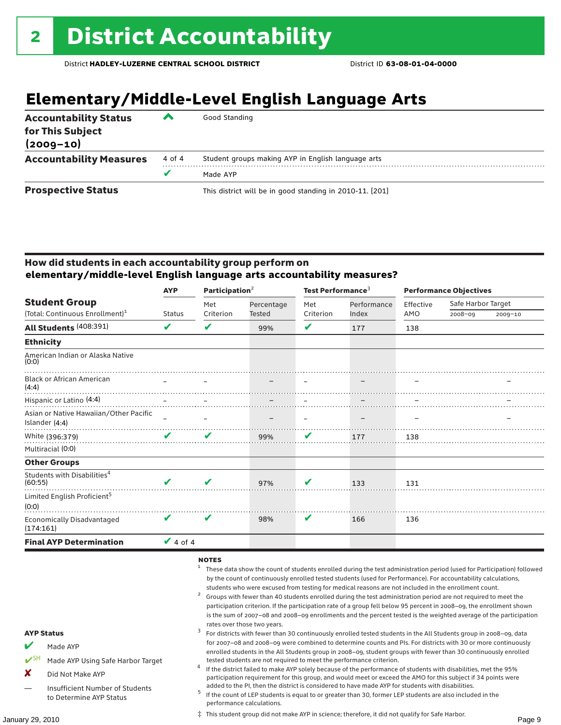### **Elementary/Middle-Level English Language Arts**

| <b>Accountability Status</b><br>for This Subject<br>$(2009 - 10)$ | ▰      | Good Standing                                            |
|-------------------------------------------------------------------|--------|----------------------------------------------------------|
| <b>Accountability Measures</b>                                    | 4 of 4 | Student groups making AYP in English language arts       |
|                                                                   |        | Made AYP                                                 |
| <b>Prospective Status</b>                                         |        | This district will be in good standing in 2010-11. [201] |

#### How did students in each accountability group perform on **elementary/middle-level English language arts accountability measures?**

|                                                    | Participation $2$<br><b>AYP</b> |           |               | Test Performance <sup>3</sup> |             | <b>Performance Objectives</b> |                    |         |
|----------------------------------------------------|---------------------------------|-----------|---------------|-------------------------------|-------------|-------------------------------|--------------------|---------|
| <b>Student Group</b>                               |                                 | Met       | Percentage    | Met                           | Performance | Effective                     | Safe Harbor Target |         |
| (Total: Continuous Enrollment) <sup>1</sup>        | <b>Status</b>                   | Criterion | <b>Tested</b> | Criterion                     | Index       | AMO                           | $2008 - 09$        | 2009-10 |
| All Students (408:391)                             | V                               | V         | 99%           | V                             | 177         | 138                           |                    |         |
| <b>Ethnicity</b>                                   |                                 |           |               |                               |             |                               |                    |         |
| American Indian or Alaska Native<br>(0:0)          |                                 |           |               |                               |             |                               |                    |         |
| <b>Black or African American</b><br>(4:4)          |                                 |           |               |                               |             |                               |                    |         |
| Hispanic or Latino (4:4)                           |                                 |           |               |                               |             |                               |                    |         |
| Asian or Native Hawaiian/Other Pacific             |                                 |           |               |                               |             |                               |                    |         |
| Islander (4:4)                                     |                                 |           |               |                               |             |                               |                    |         |
| White (396:379)                                    | $\mathbf{v}$                    | V         | 99%           | V                             | 177         | 138                           |                    |         |
| Multiracial (0:0)                                  |                                 |           |               |                               |             |                               |                    |         |
| <b>Other Groups</b>                                |                                 |           |               |                               |             |                               |                    |         |
| Students with Disabilities <sup>4</sup><br>(60:55) |                                 | ✔         | 97%           | V                             | 133         | 131                           |                    |         |
| Limited English Proficient <sup>5</sup><br>(0:0)   |                                 |           |               |                               |             |                               |                    |         |
| <b>Economically Disadvantaged</b><br>(174:161)     | V                               | V         | 98%           | V                             | 166         | 136                           |                    |         |
| <b>Final AYP Determination</b>                     | $\vee$ 4 of 4                   |           |               |                               |             |                               |                    |         |

#### $NOTES$

- <sup>1</sup> These data show the count of students enrolled during the test administration period (used for Participation) followed by the count of continuously enrolled tested students (used for Performance). For accountability calculations,
- students who were excused from testing for medical reasons are not included in the enrollment count.<br>Groups with fewer than 40 students enrolled during the test administration period are not required to meet the participation criterion. If the participation rate of a group fell below 95 percent in 2008–09, the enrollment shown is the sum of 2007–08 and 2008–09 enrollments and the percent tested is the weighted average of the participation
- rates over those two years.<br><sup>3</sup> For districts with fewer than 30 continuously enrolled tested students in the All Students group in 2008–09, data for 2007–08 and 2008–09 were combined to determine counts and PIs. For districts with 30 or more continuously enrolled students in the All Students group in 2008–09, student groups with fewer than 30 continuously enrolled
- tested students are not required to meet the performance criterion. <sup>4</sup> If the district failed to make AYP solely because of the performance of students with disabilities, met the 95% participation requirement for this group, and would meet or exceed the AMO for this subject if 34 points were
- added to the PI, then the district is considered to have made AYP for students with disabilities.<br> $^5$  If the count of LEP students is equal to or greater than 30, former LEP students are also included in the performance calculations.

‡ This student group did not make AYP in science; therefore, it did not qualify for Safe Harbor.

AYP Status

Made AYP

X Did Not Make AYP

Made AYP Using Safe Harbor Target

Insufficient Number of Students to Determine AYP Status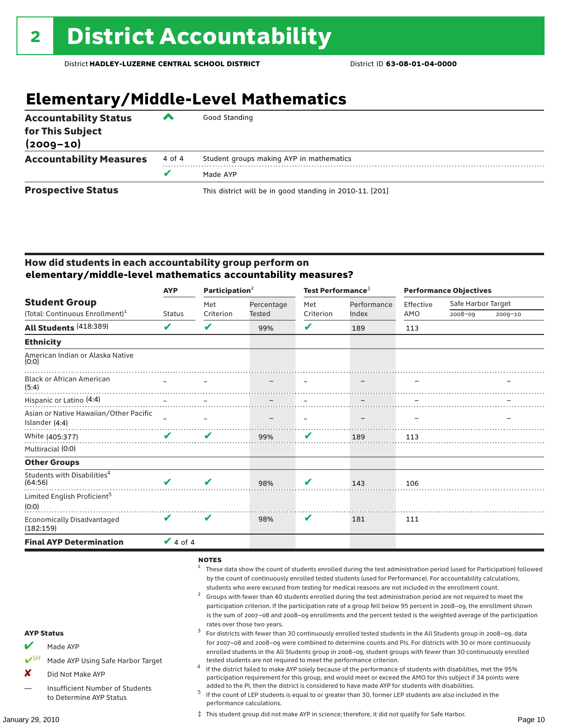### **Elementary/Middle-Level Mathematics**

| <b>Accountability Status</b><br>for This Subject<br>$(2009 - 10)$ | ▰      | Good Standing                                            |
|-------------------------------------------------------------------|--------|----------------------------------------------------------|
| <b>Accountability Measures</b>                                    | 4 of 4 | Student groups making AYP in mathematics                 |
|                                                                   | v      | Made AYP                                                 |
| <b>Prospective Status</b>                                         |        | This district will be in good standing in 2010-11. [201] |

#### How did students in each accountability group perform on **elementary/middle-level mathematics accountability measures?**

|                                                    | <b>AYP</b>    | Participation $2$             |               | Test Performance <sup>3</sup> |             | <b>Performance Objectives</b> |                    |         |
|----------------------------------------------------|---------------|-------------------------------|---------------|-------------------------------|-------------|-------------------------------|--------------------|---------|
| <b>Student Group</b>                               |               | Met                           | Percentage    | Met                           | Performance | Effective                     | Safe Harbor Target |         |
| (Total: Continuous Enrollment) <sup>1</sup>        | <b>Status</b> | Criterion                     | <b>Tested</b> | Criterion                     | Index       | AMO                           | $2008 - 09$        | 2009-10 |
| All Students (418:389)                             | V             | ✔                             | 99%           | V                             | 189         | 113                           |                    |         |
| <b>Ethnicity</b>                                   |               |                               |               |                               |             |                               |                    |         |
| American Indian or Alaska Native<br>(0:0)          |               |                               |               |                               |             |                               |                    |         |
| <b>Black or African American</b><br>(5:4)          |               |                               |               |                               |             |                               |                    |         |
| Hispanic or Latino (4:4)                           |               | the control of the control of |               |                               |             |                               |                    |         |
| Asian or Native Hawaiian/Other Pacific             |               |                               |               |                               |             |                               |                    |         |
| Islander (4:4)                                     |               |                               |               |                               |             |                               |                    |         |
| White (405:377)                                    | ✔             | V                             | 99%           | V                             | 189         | 113                           |                    |         |
| Multiracial (0:0)                                  |               |                               |               |                               |             |                               |                    |         |
| <b>Other Groups</b>                                |               |                               |               |                               |             |                               |                    |         |
| Students with Disabilities <sup>4</sup><br>(64:56) |               | ✔                             | 98%           | V                             | 143         | 106                           |                    |         |
| Limited English Proficient <sup>5</sup><br>(0:0)   |               |                               |               |                               |             |                               |                    |         |
| <b>Economically Disadvantaged</b><br>(182:159)     | V             | V                             | 98%           | V                             | 181         | 111                           |                    |         |
| <b>Final AYP Determination</b>                     | $\vee$ 4 of 4 |                               |               |                               |             |                               |                    |         |

#### $NOTES$

- <sup>1</sup> These data show the count of students enrolled during the test administration period (used for Participation) followed by the count of continuously enrolled tested students (used for Performance). For accountability calculations,
- students who were excused from testing for medical reasons are not included in the enrollment count.<br>Groups with fewer than 40 students enrolled during the test administration period are not required to meet the participation criterion. If the participation rate of a group fell below 95 percent in 2008–09, the enrollment shown is the sum of 2007–08 and 2008–09 enrollments and the percent tested is the weighted average of the participation rates over those two years.<br><sup>3</sup> For districts with fewer than 30 continuously enrolled tested students in the All Students group in 2008–09, data

for 2007–08 and 2008–09 were combined to determine counts and PIs. For districts with 30 or more continuously enrolled students in the All Students group in 2008–09, student groups with fewer than 30 continuously enrolled tested students are not required to meet the performance criterion. <sup>4</sup> If the district failed to make AYP solely because of the performance of students with disabilities, met the 95% participation requirement for this group, and would meet or exceed the AMO for this subject if 34 points were

- AYP Status
	- Made AYP
	- Made AYP Using Safe Harbor Target
	- X Did Not Make AYP
	- Insufficient Number of Students to Determine AYP Status
- added to the PI, then the district is considered to have made AYP for students with disabilities.<br> $^5$  If the count of LEP students is equal to or greater than 30, former LEP students are also included in the performance calculations.
- January 29, 2010 Page 10 ‡ This student group did not make AYP in science; therefore, it did not qualify for Safe Harbor.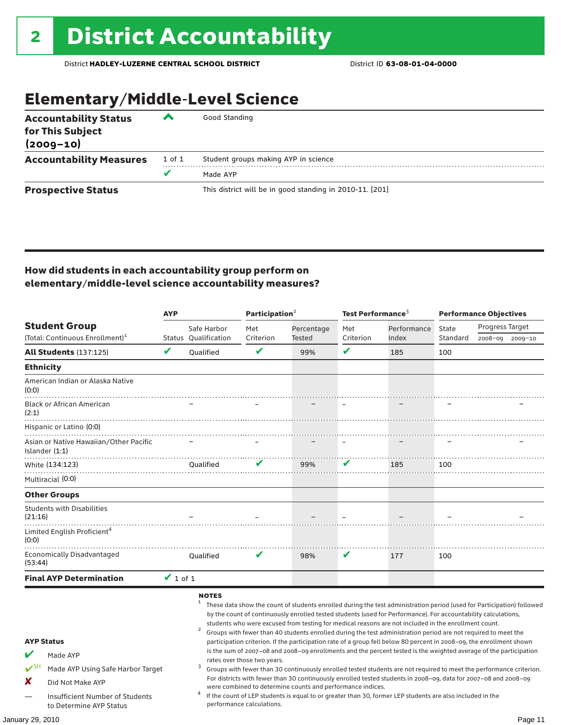### Elementary/Middle-Level Science

| <b>Accountability Status</b><br>for This Subject<br>$(2009 - 10)$ | ◚      | Good Standing                                            |
|-------------------------------------------------------------------|--------|----------------------------------------------------------|
| <b>Accountability Measures</b>                                    | 1 of 1 | Student groups making AYP in science                     |
|                                                                   | v      | Made AYP                                                 |
| <b>Prospective Status</b>                                         |        | This district will be in good standing in 2010-11. [201] |

#### How did students in each accountability group perform on elementary/middle-level science accountability measures?

| <b>AYP</b>                                                                                                     |               |                                     | Participation $2$           |                                                            | Test Performance $^{\rm 3}$ |                                                                                                                                                                                                                                                                                                                                          | <b>Performance Objectives</b> |                                                                                                                                                                                                                                                                                                                                                                                                                                                                                                                                                                                                               |
|----------------------------------------------------------------------------------------------------------------|---------------|-------------------------------------|-----------------------------|------------------------------------------------------------|-----------------------------|------------------------------------------------------------------------------------------------------------------------------------------------------------------------------------------------------------------------------------------------------------------------------------------------------------------------------------------|-------------------------------|---------------------------------------------------------------------------------------------------------------------------------------------------------------------------------------------------------------------------------------------------------------------------------------------------------------------------------------------------------------------------------------------------------------------------------------------------------------------------------------------------------------------------------------------------------------------------------------------------------------|
| <b>Student Group</b><br>(Total: Continuous Enrollment) <sup>1</sup>                                            |               | Safe Harbor<br>Status Oualification | Met<br>Criterion            | Percentage<br>Tested                                       | Met<br>Criterion            | Performance<br>Index                                                                                                                                                                                                                                                                                                                     | State<br>Standard             | Progress Target<br>2008-09 2009-10                                                                                                                                                                                                                                                                                                                                                                                                                                                                                                                                                                            |
| <b>All Students (137:125)</b>                                                                                  | V             | Qualified                           | V                           | 99%                                                        | ✔                           | 185                                                                                                                                                                                                                                                                                                                                      | 100                           |                                                                                                                                                                                                                                                                                                                                                                                                                                                                                                                                                                                                               |
| <b>Ethnicity</b>                                                                                               |               |                                     |                             |                                                            |                             |                                                                                                                                                                                                                                                                                                                                          |                               |                                                                                                                                                                                                                                                                                                                                                                                                                                                                                                                                                                                                               |
| American Indian or Alaska Native<br>(0:0)                                                                      |               |                                     |                             |                                                            |                             |                                                                                                                                                                                                                                                                                                                                          |                               |                                                                                                                                                                                                                                                                                                                                                                                                                                                                                                                                                                                                               |
| <b>Black or African American</b><br>(2:1)                                                                      |               |                                     |                             |                                                            |                             |                                                                                                                                                                                                                                                                                                                                          |                               |                                                                                                                                                                                                                                                                                                                                                                                                                                                                                                                                                                                                               |
| Hispanic or Latino (0:0)                                                                                       |               |                                     |                             |                                                            |                             |                                                                                                                                                                                                                                                                                                                                          |                               |                                                                                                                                                                                                                                                                                                                                                                                                                                                                                                                                                                                                               |
| Asian or Native Hawaiian/Other Pacific<br>Islander $(1:1)$                                                     |               |                                     |                             |                                                            |                             |                                                                                                                                                                                                                                                                                                                                          |                               |                                                                                                                                                                                                                                                                                                                                                                                                                                                                                                                                                                                                               |
| White (134:123)<br>Multiracial (0:0)                                                                           |               | Oualified                           | V                           | 99%                                                        | V                           | 185                                                                                                                                                                                                                                                                                                                                      | 100                           |                                                                                                                                                                                                                                                                                                                                                                                                                                                                                                                                                                                                               |
| <b>Other Groups</b>                                                                                            |               |                                     |                             |                                                            |                             |                                                                                                                                                                                                                                                                                                                                          |                               |                                                                                                                                                                                                                                                                                                                                                                                                                                                                                                                                                                                                               |
| <b>Students with Disabilities</b><br>(21:16)                                                                   |               |                                     |                             |                                                            |                             |                                                                                                                                                                                                                                                                                                                                          |                               |                                                                                                                                                                                                                                                                                                                                                                                                                                                                                                                                                                                                               |
| Limited English Proficient <sup>4</sup><br>(0:0)                                                               |               |                                     |                             |                                                            |                             |                                                                                                                                                                                                                                                                                                                                          |                               |                                                                                                                                                                                                                                                                                                                                                                                                                                                                                                                                                                                                               |
| <b>Economically Disadvantaged</b><br>(53:44)                                                                   |               | Qualified                           | V                           | 98%                                                        | V                           | 177                                                                                                                                                                                                                                                                                                                                      | 100                           |                                                                                                                                                                                                                                                                                                                                                                                                                                                                                                                                                                                                               |
| <b>Final AYP Determination</b>                                                                                 | $\vee$ 1 of 1 |                                     |                             |                                                            |                             |                                                                                                                                                                                                                                                                                                                                          |                               |                                                                                                                                                                                                                                                                                                                                                                                                                                                                                                                                                                                                               |
| <b>AYP Status</b><br>Made AYP<br>$\mathbf{v}$ SH<br>Made AYP Using Safe Harbor Target<br>X<br>Did Not Make AYP |               | <b>NOTES</b><br>3                   | rates over those two years. |                                                            |                             | by the count of continuously enrolled tested students (used for Performance). For accountability calculations,<br>students who were excused from testing for medical reasons are not included in the enrollment count.<br>Groups with fewer than 40 students enrolled during the test administration period are not required to meet the |                               | These data show the count of students enrolled during the test administration period (used for Participation) followed<br>participation criterion. If the participation rate of a group fell below 80 percent in 2008-09, the enrollment shown<br>is the sum of 2007-08 and 2008-09 enrollments and the percent tested is the weighted average of the participation<br>Groups with fewer than 30 continuously enrolled tested students are not required to meet the performance criterion.<br>For districts with fewer than 30 continuously enrolled tested students in 2008-09, data for 2007-08 and 2008-09 |
| Insufficient Number of Students<br>to Determine AYP Status                                                     |               | 4                                   | performance calculations.   | were combined to determine counts and performance indices. |                             | If the count of LEP students is equal to or greater than 30, former LEP students are also included in the                                                                                                                                                                                                                                |                               |                                                                                                                                                                                                                                                                                                                                                                                                                                                                                                                                                                                                               |
| January 29, 2010                                                                                               |               |                                     |                             |                                                            |                             |                                                                                                                                                                                                                                                                                                                                          |                               | Page 11                                                                                                                                                                                                                                                                                                                                                                                                                                                                                                                                                                                                       |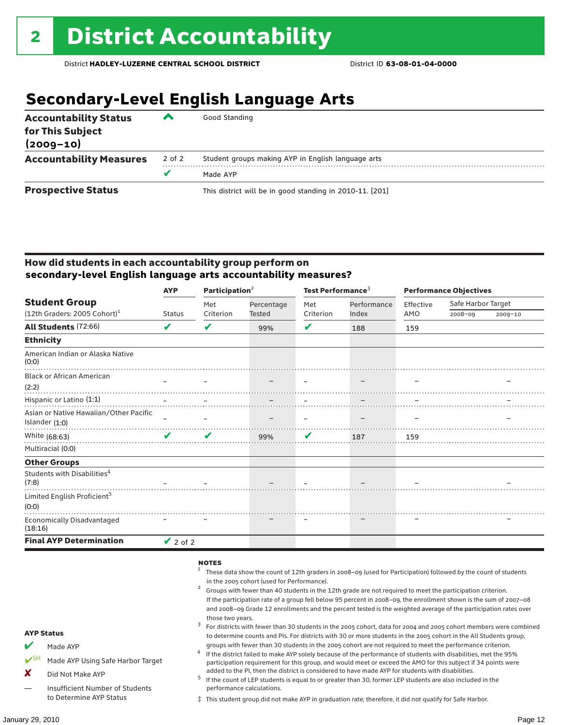### **Secondary-Level English Language Arts**

| <b>Accountability Status</b><br>for This Subject<br>$(2009 - 10)$ | ▰      | Good Standing                                            |
|-------------------------------------------------------------------|--------|----------------------------------------------------------|
| <b>Accountability Measures</b>                                    | 2 of 2 | Student groups making AYP in English language arts       |
|                                                                   |        | Made AYP                                                 |
| <b>Prospective Status</b>                                         |        | This district will be in good standing in 2010-11. [201] |

#### How did students in each accountability group perform on **secondary-level English language arts accountability measures?**

|                                                  | <b>AYP</b>                 | Participation $2$ |            | Test Performance <sup>3</sup> |             | <b>Performance Objectives</b> |                    |             |
|--------------------------------------------------|----------------------------|-------------------|------------|-------------------------------|-------------|-------------------------------|--------------------|-------------|
| <b>Student Group</b>                             |                            | Met               | Percentage | Met                           | Performance | Effective                     | Safe Harbor Target |             |
| $(12th$ Graders: 2005 Cohort) <sup>1</sup>       | <b>Status</b>              | Criterion         | Tested     | Criterion                     | Index       | AMO                           | 2008-09            | $2009 - 10$ |
| <b>All Students (72:66)</b>                      | V                          | V                 | 99%        | V                             | 188         | 159                           |                    |             |
| <b>Ethnicity</b>                                 |                            |                   |            |                               |             |                               |                    |             |
| American Indian or Alaska Native<br>(0:0)        |                            |                   |            |                               |             |                               |                    |             |
| <b>Black or African American</b>                 |                            |                   |            |                               |             |                               |                    |             |
| (2:2)                                            |                            |                   |            |                               |             |                               |                    |             |
| Hispanic or Latino (1:1)                         |                            |                   |            |                               |             |                               |                    |             |
| Asian or Native Hawaiian/Other Pacific           |                            |                   |            |                               |             |                               |                    |             |
| Islander (1:0)                                   |                            |                   |            |                               |             |                               |                    |             |
| White (68:63)                                    | $\boldsymbol{\mathcal{U}}$ | ✔                 | 99%        | V                             | 187         | 159                           |                    |             |
| Multiracial (0:0)                                |                            |                   |            |                               |             |                               |                    |             |
| <b>Other Groups</b>                              |                            |                   |            |                               |             |                               |                    |             |
| Students with Disabilities <sup>4</sup><br>(7:8) |                            |                   |            |                               |             |                               |                    |             |
| Limited English Proficient <sup>5</sup><br>(0:0) |                            |                   |            |                               |             |                               |                    |             |
| <b>Economically Disadvantaged</b><br>(18:16)     |                            |                   |            |                               |             |                               |                    |             |
| <b>Final AYP Determination</b>                   | $\vee$ 2 of 2              |                   |            |                               |             |                               |                    |             |

#### **NOTES**

AYP Status Made AYP Made AYP Using Safe Harbor Target X Did Not Make AYP — Insufficient Number of Students to Determine AYP Status <sup>1</sup> These data show the count of 12th graders in 2008–09 (used for Participation) followed by the count of students in the 2005 cohort (used for Performance).<br>Groups with fewer than 40 students in the 12th grade are not required to meet the participation criterion. If the participation rate of a group fell below 95 percent in 2008–09, the enrollment shown is the sum of 2007–08 and 2008–09 Grade 12 enrollments and the percent tested is the weighted average of the participation rates over those two years.<br><sup>3</sup> For districts with fewer than 30 students in the 2005 cohort, data for 2004 and 2005 cohort members were combined to determine counts and PIs. For districts with 30 or more students in the 2005 cohort in the All Students group, groups with fewer than 30 students in the 2005 cohort are not required to meet the performance criterion.<br>If the district failed to make AYP solely because of the performance of students with disabilities, met the 95% participation requirement for this group, and would meet or exceed the AMO for this subject if 34 points were added to the PI, then the district is considered to have made AYP for students with disabilities.<br> $^5$  If the count of LEP students is equal to or greater than 30, former LEP students are also included in the performance calculations. ‡ This student group did not make AYP in graduation rate; therefore, it did not qualify for Safe Harbor.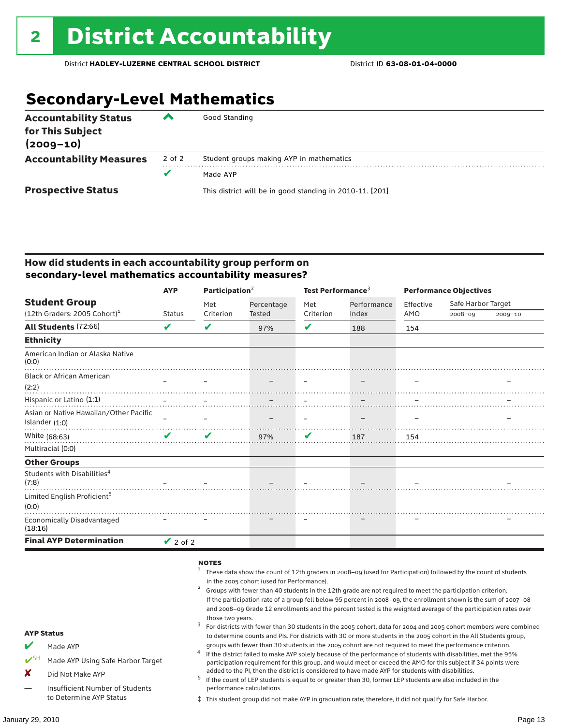### **Secondary-Level Mathematics**

| <b>Accountability Status</b><br>for This Subject<br>$(2009 - 10)$ | ▰      | Good Standing                                            |
|-------------------------------------------------------------------|--------|----------------------------------------------------------|
| <b>Accountability Measures</b>                                    | 2 of 2 | Student groups making AYP in mathematics                 |
|                                                                   |        | Made AYP                                                 |
| <b>Prospective Status</b>                                         |        | This district will be in good standing in 2010-11. [201] |

#### How did students in each accountability group perform on **secondary-level mathematics accountability measures?**

|                                                  | <b>AYP</b>    |           | Participation <sup>2</sup> |           | Test Performance <sup>3</sup> | <b>Performance Objectives</b> |                    |             |
|--------------------------------------------------|---------------|-----------|----------------------------|-----------|-------------------------------|-------------------------------|--------------------|-------------|
| <b>Student Group</b>                             |               | Met       | Percentage                 | Met       | Performance                   | Effective                     | Safe Harbor Target |             |
| $(12th$ Graders: 2005 Cohort) <sup>1</sup>       | <b>Status</b> | Criterion | Tested                     | Criterion | Index                         | AMO                           | 2008-09            | $2009 - 10$ |
| All Students (72:66)                             | V             | V         | 97%                        | V         | 188                           | 154                           |                    |             |
| <b>Ethnicity</b>                                 |               |           |                            |           |                               |                               |                    |             |
| American Indian or Alaska Native<br>(0:0)        |               |           |                            |           |                               |                               |                    |             |
| <b>Black or African American</b>                 |               |           |                            |           |                               |                               |                    |             |
| (2:2)                                            |               |           |                            |           |                               |                               |                    |             |
| Hispanic or Latino (1:1)                         |               |           |                            |           |                               |                               |                    |             |
| Asian or Native Hawaiian/Other Pacific           |               |           |                            |           |                               |                               |                    |             |
| Islander (1:0)                                   |               |           |                            |           |                               |                               |                    |             |
| White (68:63)                                    | V             | ✔         | 97%                        | V         | 187                           | 154                           |                    |             |
| Multiracial (0:0)                                |               |           |                            |           |                               |                               |                    |             |
| <b>Other Groups</b>                              |               |           |                            |           |                               |                               |                    |             |
| Students with Disabilities <sup>4</sup><br>(7:8) |               |           |                            |           |                               |                               |                    |             |
| Limited English Proficient <sup>5</sup>          |               |           |                            |           |                               |                               |                    |             |
| (0:0)                                            |               |           |                            |           |                               |                               |                    |             |
| <b>Economically Disadvantaged</b><br>(18:16)     |               |           |                            |           |                               |                               |                    |             |
| <b>Final AYP Determination</b>                   | $\vee$ 2 of 2 |           |                            |           |                               |                               |                    |             |

#### **NOTES**

AYP Status  $M$  Made AYP ✔SH Made AYP Using Safe Harbor Target X Did Not Make AYP — Insufficient Number of Students to Determine AYP Status <sup>1</sup> These data show the count of 12th graders in 2008–09 (used for Participation) followed by the count of students in the 2005 cohort (used for Performance).<br>Groups with fewer than 40 students in the 12th grade are not required to meet the participation criterion. If the participation rate of a group fell below 95 percent in 2008–09, the enrollment shown is the sum of 2007–08 and 2008–09 Grade 12 enrollments and the percent tested is the weighted average of the participation rates over those two years.<br><sup>3</sup> For districts with fewer than 30 students in the 2005 cohort, data for 2004 and 2005 cohort members were combined to determine counts and PIs. For districts with 30 or more students in the 2005 cohort in the All Students group, groups with fewer than 30 students in the 2005 cohort are not required to meet the performance criterion.<br>If the district failed to make AYP solely because of the performance of students with disabilities, met the 95% participation requirement for this group, and would meet or exceed the AMO for this subject if 34 points were added to the PI, then the district is considered to have made AYP for students with disabilities.<br> $^5$  If the count of LEP students is equal to or greater than 30, former LEP students are also included in the performance calculations. ‡ This student group did not make AYP in graduation rate; therefore, it did not qualify for Safe Harbor.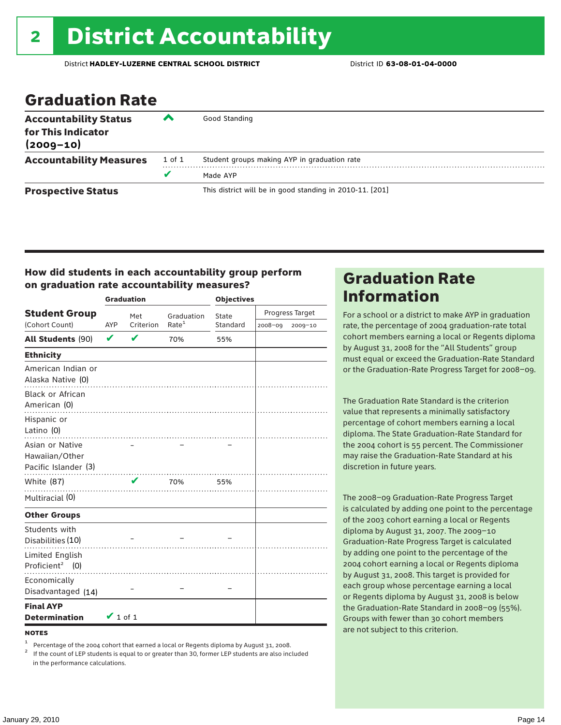### Graduation Rate

| <b>Accountability Status</b><br>for This Indicator<br>$(2009 - 10)$ | ▰      | Good Standing                                            |
|---------------------------------------------------------------------|--------|----------------------------------------------------------|
| <b>Accountability Measures</b>                                      | 1 of 1 | Student groups making AYP in graduation rate             |
|                                                                     | u      | Made AYP                                                 |
| <b>Prospective Status</b>                                           |        | This district will be in good standing in 2010-11. [201] |

#### How did students in each accountability group perform on graduation rate accountability measures?

|                                                                      |               | <b>Graduation</b> |                   | <b>Objectives</b> |         |                 |  |
|----------------------------------------------------------------------|---------------|-------------------|-------------------|-------------------|---------|-----------------|--|
| <b>Student Group</b>                                                 | Met           |                   | Graduation        | State             |         | Progress Target |  |
| (Cohort Count)                                                       | AYP           | Criterion         | Rate <sup>1</sup> | Standard          | 2008-09 | 2009-10         |  |
| All Students (90)                                                    | $\mathbf v$   | V                 | 70%               | 55%               |         |                 |  |
| <b>Ethnicity</b>                                                     |               |                   |                   |                   |         |                 |  |
| American Indian or<br>Alaska Native (0)                              |               |                   |                   |                   |         |                 |  |
| <b>Black or African</b><br>American (0)<br>Hispanic or<br>Latino (0) |               |                   |                   |                   |         |                 |  |
| Asian or Native<br>Hawaiian/Other<br>Pacific Islander (3)            |               |                   | .                 |                   |         |                 |  |
| White (87)                                                           |               | V                 | 70%               | 55%               |         |                 |  |
| Multiracial (0)                                                      |               |                   |                   |                   |         |                 |  |
| <b>Other Groups</b>                                                  |               |                   |                   |                   |         |                 |  |
| Students with<br>Disabilities (10)                                   |               | .                 |                   |                   |         |                 |  |
| Limited English<br>Proficient <sup>2</sup> (0)                       |               |                   |                   |                   |         |                 |  |
| Economically<br>Disadvantaged (14)                                   |               |                   |                   |                   |         |                 |  |
| <b>Final AYP</b><br><b>Determination</b>                             | $\vee$ 1 of 1 |                   |                   |                   |         |                 |  |

#### **NOTES**

Percentage of the 2004 cohort that earned a local or Regents diploma by August 31, 2008.<br>If the count of LEP students is equal to or greater than 30, former LEP students are also included

in the performance calculations.

### Graduation Rate Information

For a school or a district to make AYP in graduation rate, the percentage of 2004 graduation-rate total cohort members earning a local or Regents diploma by August 31, 2008 for the "All Students" group must equal or exceed the Graduation-Rate Standard or the Graduation-Rate Progress Target for 2008–09.

The Graduation Rate Standard is the criterion value that represents a minimally satisfactory percentage of cohort members earning a local diploma. The State Graduation-Rate Standard for the 2004 cohort is 55 percent. The Commissioner may raise the Graduation-Rate Standard at his discretion in future years.

The 2008–09 Graduation-Rate Progress Target is calculated by adding one point to the percentage of the 2003 cohort earning a local or Regents diploma by August 31, 2007. The 2009–10 Graduation-Rate Progress Target is calculated by adding one point to the percentage of the 2004 cohort earning a local or Regents diploma by August 31, 2008. This target is provided for each group whose percentage earning a local or Regents diploma by August 31, 2008 is below the Graduation-Rate Standard in 2008–09 (55%). Groups with fewer than 30 cohort members are not subject to this criterion.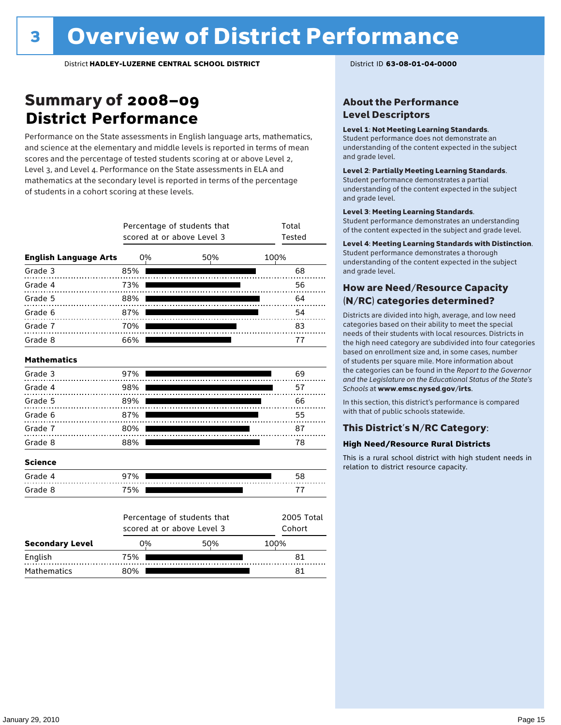### Summary of 2008–09 **District Performance**

Performance on the State assessments in English language arts, mathematics, and science at the elementary and middle levels is reported in terms of mean scores and the percentage of tested students scoring at or above Level 2, Level 3, and Level 4. Performance on the State assessments in ELA and mathematics at the secondary level is reported in terms of the percentage of students in a cohort scoring at these levels.

|                              |                                                           | Percentage of students that<br>scored at or above Level 3 |     | Total<br>Tested |                      |  |
|------------------------------|-----------------------------------------------------------|-----------------------------------------------------------|-----|-----------------|----------------------|--|
| <b>English Language Arts</b> |                                                           | 0%                                                        | 50% | 100%            |                      |  |
| Grade 3                      | 85%                                                       |                                                           |     |                 | 68                   |  |
| Grade 4                      | 73%                                                       |                                                           |     |                 | 56                   |  |
| Grade 5                      | 88%                                                       |                                                           |     |                 | 64                   |  |
| Grade 6                      | 87%                                                       |                                                           |     |                 | 54                   |  |
| Grade 7                      | 70%                                                       |                                                           |     |                 | 83                   |  |
| Grade 8                      | 66%                                                       |                                                           |     |                 | 77                   |  |
| <b>Mathematics</b>           |                                                           |                                                           |     |                 |                      |  |
| Grade 3                      | 97%                                                       |                                                           |     |                 | 69                   |  |
| Grade 4                      | 98%                                                       |                                                           |     |                 | 57                   |  |
| Grade 5                      | 89%                                                       |                                                           |     |                 | 66                   |  |
| Grade 6                      | 87%                                                       |                                                           |     |                 | 55                   |  |
| Grade 7                      | 80%                                                       |                                                           |     |                 | 87                   |  |
| Grade 8                      | 88%                                                       |                                                           |     |                 | 78                   |  |
| <b>Science</b>               |                                                           |                                                           |     |                 |                      |  |
| Grade 4                      | 97%                                                       |                                                           |     |                 | 58                   |  |
| Grade 8                      | 75%                                                       |                                                           |     |                 | 77                   |  |
|                              | Percentage of students that<br>scored at or above Level 3 |                                                           |     |                 | 2005 Total<br>Cohort |  |
| <b>Secondary Level</b>       |                                                           | 0%                                                        | 50% | 100%            |                      |  |
| English                      | 75%                                                       |                                                           |     |                 | 81                   |  |

Mathematics 80% 81

#### About the Performance Level Descriptors

#### Level 1: Not Meeting Learning Standards.

Student performance does not demonstrate an understanding of the content expected in the subject and grade level.

#### Level 2: Partially Meeting Learning Standards.

Student performance demonstrates a partial understanding of the content expected in the subject and grade level.

#### Level 3: Meeting Learning Standards.

Student performance demonstrates an understanding of the content expected in the subject and grade level.

#### Level 4: Meeting Learning Standards with Distinction.

Student performance demonstrates a thorough understanding of the content expected in the subject and grade level.

#### How are Need/Resource Capacity (N/RC) categories determined?

Districts are divided into high, average, and low need categories based on their ability to meet the special needs of their students with local resources. Districts in the high need category are subdivided into four categories based on enrollment size and, in some cases, number of students per square mile. More information about the categories can be found in the *Report to the Governor and the Legislature on the Educational Status of the State's Schools* at www.emsc.nysed.gov/irts.

In this section, this district's performance is compared with that of public schools statewide.

#### This District's N/RC Category:

#### **High Need/Resource Rural Districts**

This is a rural school district with high student needs in relation to district resource capacity.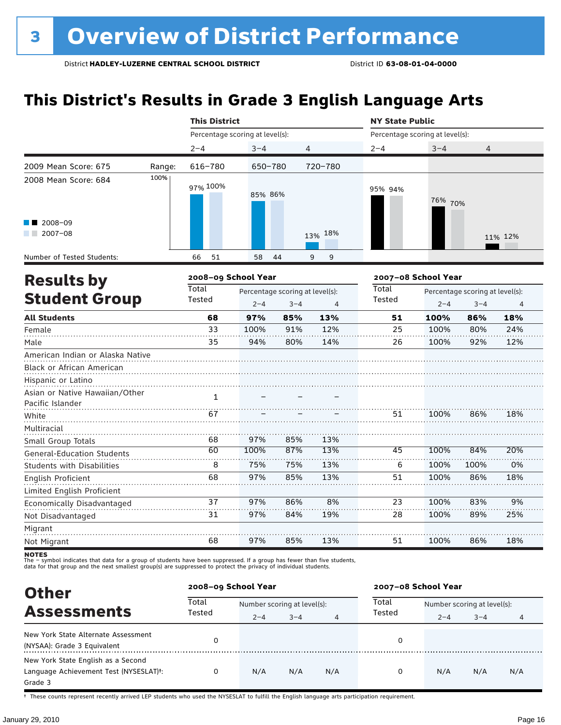### **This District's Results in Grade 3 English Language Arts**

|                                                               |        | <b>This District</b>            |                                 |         |         | <b>NY State Public</b> |                                 |                                 |                |  |
|---------------------------------------------------------------|--------|---------------------------------|---------------------------------|---------|---------|------------------------|---------------------------------|---------------------------------|----------------|--|
|                                                               |        | Percentage scoring at level(s): |                                 |         |         |                        | Percentage scoring at level(s): |                                 |                |  |
|                                                               |        | $2 - 4$                         | $3 - 4$                         |         | 4       | $2 - 4$                | $3 - 4$                         | 4                               |                |  |
| 2009 Mean Score: 675                                          | Range: | 616-780                         | 650-780                         |         | 720-780 |                        |                                 |                                 |                |  |
| 2008 Mean Score: 684                                          | 100%   | 97% 100%                        | 85% 86%                         |         |         | 95% 94%                | 76% 70%                         |                                 |                |  |
| $\blacksquare$ 2008-09<br>$\blacksquare$ 2007-08              |        |                                 |                                 |         | 13% 18% |                        |                                 |                                 | 11% 12%        |  |
| Number of Tested Students:                                    |        | 51<br>66                        | 58                              | 44      | 9<br>9  |                        |                                 |                                 |                |  |
| <b>Results by</b>                                             |        | 2008-09 School Year             |                                 |         |         | 2007-08 School Year    |                                 |                                 |                |  |
|                                                               |        | Total                           | Percentage scoring at level(s): |         |         | Total                  |                                 | Percentage scoring at level(s): |                |  |
| <b>Student Group</b>                                          |        | Tested                          | $2 - 4$                         | $3 - 4$ | 4       | Tested                 | $2 - 4$                         | $3 - 4$                         | $\overline{4}$ |  |
| <b>All Students</b>                                           |        | 68                              | 97%                             | 85%     | 13%     | 51                     | 100%                            | 86%                             | 18%            |  |
| Female                                                        |        | 33                              | 100%                            | 91%     | 12%     | 25                     | 100%                            | 80%                             | 24%            |  |
| Male                                                          |        | 35                              | 94%                             | 80%     | 14%     | 26                     | 100%                            | 92%                             | 12%            |  |
| American Indian or Alaska Native<br>Black or African American |        |                                 |                                 |         |         |                        |                                 |                                 |                |  |
| Hispanic or Latino                                            |        |                                 |                                 |         |         |                        |                                 |                                 |                |  |
| Asian or Native Hawaiian/Other<br>Pacific Islander            |        | $\mathbf{1}$                    |                                 |         |         |                        |                                 |                                 |                |  |
| White                                                         |        | 67                              |                                 |         |         | 51                     | 100%                            | 86%                             | 18%            |  |
| Multiracial<br>Small Group Totals                             |        | 68                              | 97%                             | 85%     | 13%     |                        |                                 |                                 |                |  |
| <b>General-Education Students</b>                             |        | 60                              | 100%                            | 87%     | 13%     | 45                     | 100%                            | 84%                             | 20%            |  |
| <b>Students with Disabilities</b>                             |        | 8                               | 75%                             | 75%     | 13%     | 6                      | 100%                            | 100%                            | 0%             |  |
| English Proficient                                            |        | 68                              | 97%                             | 85%     | 13%     | 51                     | 100%                            | 86%                             | 18%            |  |
| Limited English Proficient                                    |        |                                 |                                 |         |         |                        |                                 |                                 |                |  |
| Economically Disadvantaged                                    |        | 37                              | 97%                             | 86%     | 8%      | 23                     | 100%                            | 83%                             | 9%             |  |
| Not Disadvantaged                                             |        | 31                              | 97%                             | 84%     | 19%     | 28                     | 100%                            | 89%                             | 25%            |  |
| Migrant                                                       |        |                                 |                                 |         |         |                        |                                 |                                 |                |  |
| Not Migrant                                                   |        | 68                              | 97%                             | 85%     | 13%     | 51                     | 100%                            | 86%                             | 18%            |  |

**NOTES**<br>The – symbol indicates that data for a group of students have been suppressed. If a group has fewer than five students,<br>data for that group and the next smallest group(s) are suppressed to protect the privacy of in

| <b>Other</b>                                                                                         | 2008-09 School Year |                             |         |     | 2007-08 School Year |                             |         |     |  |
|------------------------------------------------------------------------------------------------------|---------------------|-----------------------------|---------|-----|---------------------|-----------------------------|---------|-----|--|
| <b>Assessments</b>                                                                                   | Total<br>Tested     | Number scoring at level(s): |         |     | Total               | Number scoring at level(s): |         |     |  |
|                                                                                                      |                     | $2 - 4$                     | $3 - 4$ | 4   | Tested              | $2 - 4$                     | $3 - 4$ | 4   |  |
| New York State Alternate Assessment<br>(NYSAA): Grade 3 Equivalent                                   | 0                   |                             |         |     | 0                   |                             |         |     |  |
| New York State English as a Second<br>Language Achievement Test (NYSESLAT) <sup>+</sup> :<br>Grade 3 | 0                   | N/A                         | N/A     | N/A | 0                   | N/A                         | N/A     | N/A |  |

† These counts represent recently arrived LEP students who used the NYSESLAT to fulfill the English language arts participation requirement.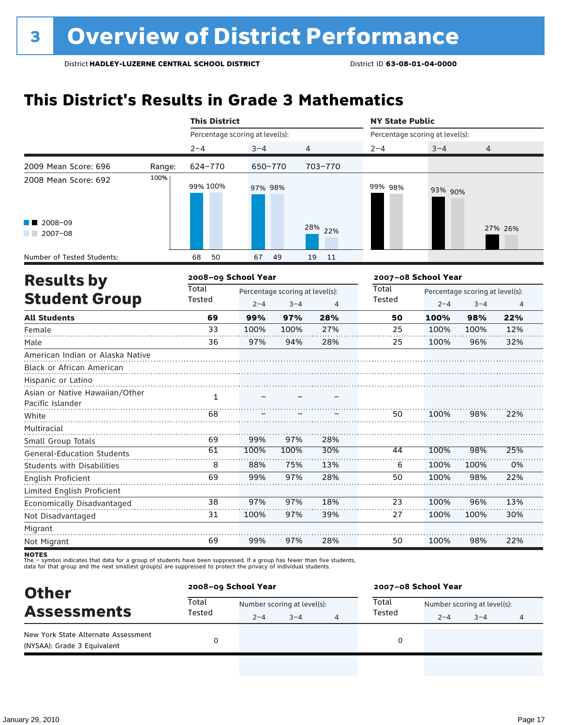### **This District's Results in Grade 3 Mathematics**

|                                                                          |        | <b>This District</b>            |             |                                            |            | <b>NY State Public</b>          |                                                            |             |            |  |
|--------------------------------------------------------------------------|--------|---------------------------------|-------------|--------------------------------------------|------------|---------------------------------|------------------------------------------------------------|-------------|------------|--|
|                                                                          |        | Percentage scoring at level(s): |             |                                            |            | Percentage scoring at level(s): |                                                            |             |            |  |
|                                                                          |        | $2 - 4$                         | $3 - 4$     |                                            | 4          | $2 - 4$                         | $3 - 4$                                                    | 4           |            |  |
| 2009 Mean Score: 696                                                     | Range: | 624-770                         | 650-770     |                                            | 703-770    |                                 |                                                            |             |            |  |
| 2008 Mean Score: 692                                                     | 100%   | 99% 100%                        | 97% 98%     |                                            |            | 99% 98%                         | 93% 90%                                                    |             |            |  |
| 2008-09<br>$12007-08$                                                    |        |                                 |             |                                            | 28% 22%    |                                 |                                                            |             | 27% 26%    |  |
| Number of Tested Students:                                               |        | 50<br>68                        | 67          | 49                                         | 19<br>11   |                                 |                                                            |             |            |  |
| <b>Results by</b>                                                        |        | 2008-09 School Year             |             |                                            |            |                                 | 2007-08 School Year                                        |             |            |  |
| <b>Student Group</b>                                                     |        | <b>Total</b><br>Tested          | $2 - 4$     | Percentage scoring at level(s):<br>$3 - 4$ | 4          | Total<br>Tested                 | Percentage scoring at level(s):<br>$2 - 4$<br>$3 - 4$<br>4 |             |            |  |
| <b>All Students</b>                                                      |        | 69                              | 99%         | 97%                                        | 28%        | 50                              | 100%                                                       | 98%         | 22%        |  |
| Female<br>Male                                                           |        | 33<br>36                        | 100%<br>97% | 100%<br>94%                                | 27%<br>28% | 25<br>25                        | 100%<br>100%                                               | 100%<br>96% | 12%<br>32% |  |
| American Indian or Alaska Native<br>Black or African American            |        |                                 |             |                                            |            |                                 |                                                            |             |            |  |
| Hispanic or Latino<br>Asian or Native Hawaiian/Other<br>Pacific Islander |        | $\mathbf{1}$                    |             |                                            |            |                                 |                                                            |             |            |  |
| White                                                                    |        | 68                              |             |                                            |            | 50                              | 100%                                                       | 98%         | 22%        |  |
| Multiracial<br>Small Group Totals                                        |        | 69                              | 99%         | 97%                                        | 28%        |                                 |                                                            |             |            |  |
| <b>General-Education Students</b>                                        |        | 61                              | 100%        | 100%                                       | 30%        | 44                              | 100%                                                       | 98%         | 25%        |  |
| <b>Students with Disabilities</b>                                        |        | 8                               | 88%         | 75%                                        | 13%        | 6                               | 100%                                                       | 100%        | 0%         |  |
| English Proficient                                                       |        | 69                              | 99%         | 97%                                        | 28%        | 50                              | 100%                                                       | 98%         | 22%        |  |
| Limited English Proficient                                               |        |                                 |             |                                            |            |                                 |                                                            |             |            |  |
| Economically Disadvantaged                                               |        | 38                              | 97%         | 97%                                        | 18%        | 23                              | 100%                                                       | 96%         | 13%        |  |
| Not Disadvantaged                                                        |        | 31                              | 100%        | 97%                                        | 39%        | 27                              | 100%                                                       | 100%        | 30%        |  |
| Migrant                                                                  |        |                                 |             |                                            |            |                                 |                                                            |             |            |  |
| Not Migrant                                                              |        | 69                              | 99%         | 97%                                        | 28%        | 50                              | 100%                                                       | 98%         | 22%        |  |

| <b>Other</b>                                                       | 2008-09 School Year |                             |         |  | 2007-08 School Year |                             |         |   |  |
|--------------------------------------------------------------------|---------------------|-----------------------------|---------|--|---------------------|-----------------------------|---------|---|--|
| <b>Assessments</b>                                                 | Total<br>Tested     | Number scoring at level(s): |         |  | Total               | Number scoring at level(s): |         |   |  |
|                                                                    |                     | $2 - 4$                     | $3 - 4$ |  | Tested              | $2 - 4$                     | $3 - 4$ | 4 |  |
| New York State Alternate Assessment<br>(NYSAA): Grade 3 Equivalent |                     |                             |         |  | 0                   |                             |         |   |  |
|                                                                    |                     |                             |         |  |                     |                             |         |   |  |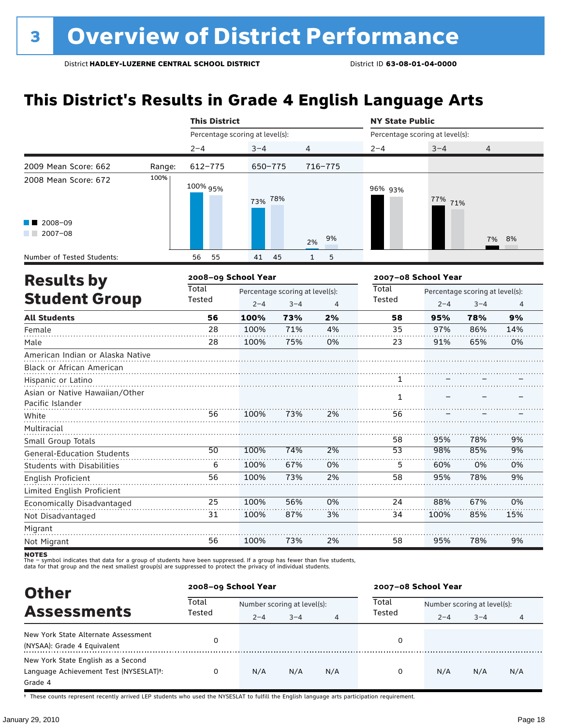### **This District's Results in Grade 4 English Language Arts**

|                                                               |                                          | <b>This District</b>            |                                                       |                    |         | <b>NY State Public</b>          |         |                                            |                |  |
|---------------------------------------------------------------|------------------------------------------|---------------------------------|-------------------------------------------------------|--------------------|---------|---------------------------------|---------|--------------------------------------------|----------------|--|
|                                                               |                                          | Percentage scoring at level(s): |                                                       |                    |         | Percentage scoring at level(s): |         |                                            |                |  |
|                                                               |                                          | $2 - 4$                         | $3 - 4$                                               | 4                  |         | $2 - 4$                         | $3 - 4$ | 4                                          |                |  |
| 2009 Mean Score: 662                                          | Range:                                   | 612-775                         | 650-775                                               |                    | 716-775 |                                 |         |                                            |                |  |
| 2008 Mean Score: 672                                          | 100%                                     | 100% 95%                        | 73% 78%                                               |                    |         | 96% 93%                         | 77% 71% |                                            |                |  |
| 2008-09<br>$2007 - 08$                                        |                                          |                                 |                                                       | 2%                 | 9%      |                                 |         | 7%                                         | 8%             |  |
| Number of Tested Students:                                    |                                          | 56<br>55                        | 41                                                    | 45<br>$\mathbf{1}$ | 5       |                                 |         |                                            |                |  |
|                                                               | 2008-09 School Year<br><b>Results by</b> |                                 |                                                       |                    |         | 2007-08 School Year             |         |                                            |                |  |
| <b>Student Group</b>                                          |                                          | Total<br>Tested                 | Percentage scoring at level(s):<br>$2 - 4$<br>$3 - 4$ |                    | 4       | <b>Total</b><br>Tested          | $2 - 4$ | Percentage scoring at level(s):<br>$3 - 4$ | $\overline{4}$ |  |
| <b>All Students</b>                                           |                                          | 56                              | 100%                                                  | 73%                | 2%      | 58                              | 95%     | 78%                                        | 9%             |  |
| Female                                                        |                                          | 28                              | 100%                                                  | 71%                | 4%      | 35                              | 97%     | 86%                                        | 14%            |  |
| Male                                                          |                                          | 28                              | 100%                                                  | 75%                | 0%      | 23                              | 91%     | 65%                                        | 0%             |  |
| American Indian or Alaska Native<br>Black or African American |                                          |                                 |                                                       |                    |         |                                 |         |                                            |                |  |
| Hispanic or Latino                                            |                                          |                                 |                                                       |                    |         | 1                               |         |                                            |                |  |
| Asian or Native Hawaiian/Other<br>Pacific Islander            |                                          |                                 |                                                       |                    |         | $\mathbf{1}$                    |         |                                            |                |  |
| White                                                         |                                          | 56                              | 100%                                                  | 73%                | 2%      | 56                              |         |                                            |                |  |
| Multiracial<br>Small Group Totals                             |                                          |                                 |                                                       |                    |         | 58                              | 95%     | 78%                                        | 9%             |  |
| General-Education Students                                    |                                          | 50                              | 100%                                                  | 74%                | 2%      | $\overline{53}$                 | 98%     | 85%                                        | 9%             |  |
| <b>Students with Disabilities</b>                             |                                          | 6                               | 100%                                                  | 67%                | 0%      | 5                               | 60%     | 0%                                         | 0%             |  |
| English Proficient                                            |                                          | 56                              | 100%                                                  | 73%                | 2%      | 58                              | 95%     | 78%                                        | 9%             |  |
| Limited English Proficient                                    |                                          |                                 |                                                       |                    |         |                                 |         |                                            |                |  |
| Economically Disadvantaged                                    |                                          | 25                              | 100%                                                  | 56%                | 0%      | 24                              | 88%     | 67%                                        | 0%             |  |
| Not Disadvantaged                                             |                                          | 31                              | 100%                                                  | 87%                | 3%      | 34                              | 100%    | 85%                                        | 15%            |  |
| Migrant                                                       |                                          |                                 |                                                       |                    |         |                                 |         |                                            |                |  |
| Not Migrant                                                   |                                          | 56                              | 100%                                                  | 73%                | 2%      | 58                              | 95%     | 78%                                        | 9%             |  |

**NOTES**<br>The – symbol indicates that data for a group of students have been suppressed. If a group has fewer than five students,<br>data for that group and the next smallest group(s) are suppressed to protect the privacy of in

| <b>Other</b>                                                                                         | 2008-09 School Year |                             |         |     | 2007-08 School Year |                             |         |     |  |
|------------------------------------------------------------------------------------------------------|---------------------|-----------------------------|---------|-----|---------------------|-----------------------------|---------|-----|--|
|                                                                                                      | Total<br>Tested     | Number scoring at level(s): |         |     | Total               | Number scoring at level(s): |         |     |  |
| <b>Assessments</b>                                                                                   |                     | $2 - 4$                     | $3 - 4$ | 4   | Tested              | $2 - 4$                     | $3 - 4$ | 4   |  |
| New York State Alternate Assessment<br>(NYSAA): Grade 4 Equivalent                                   | 0                   |                             |         |     | 0                   |                             |         |     |  |
| New York State English as a Second<br>Language Achievement Test (NYSESLAT) <sup>+</sup> :<br>Grade 4 |                     | N/A                         | N/A     | N/A | 0                   | N/A                         | N/A     | N/A |  |

† These counts represent recently arrived LEP students who used the NYSESLAT to fulfill the English language arts participation requirement.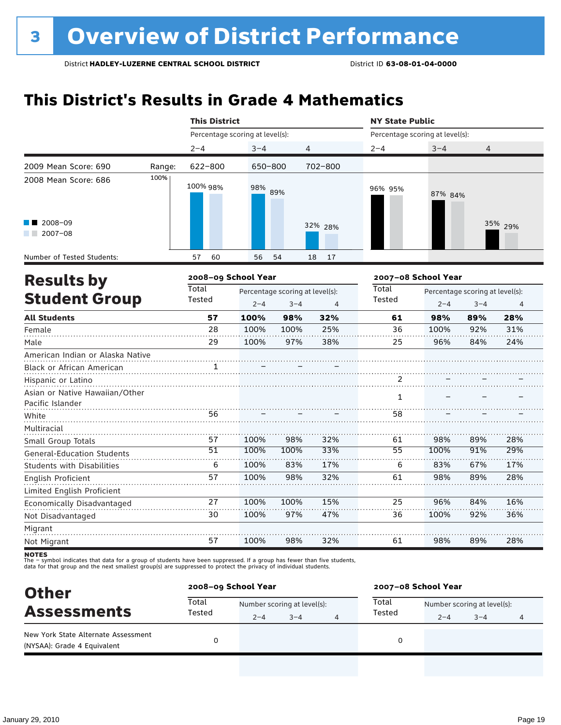### **This District's Results in Grade 4 Mathematics**

|                                                               |                                          | <b>This District</b>            |         |                                            |          | <b>NY State Public</b>          |                     |                                            |                |  |
|---------------------------------------------------------------|------------------------------------------|---------------------------------|---------|--------------------------------------------|----------|---------------------------------|---------------------|--------------------------------------------|----------------|--|
|                                                               |                                          | Percentage scoring at level(s): |         |                                            |          | Percentage scoring at level(s): |                     |                                            |                |  |
|                                                               |                                          | $2 - 4$                         | $3 - 4$ | $\overline{4}$                             |          | $2 - 4$                         | $3 - 4$             | 4                                          |                |  |
| 2009 Mean Score: 690                                          | Range:                                   | 622-800                         | 650-800 |                                            | 702-800  |                                 |                     |                                            |                |  |
| 2008 Mean Score: 686                                          | 100%                                     | 100% 98%                        | 98%     | 89%                                        |          | 96% 95%                         | 87% 84%             |                                            |                |  |
| 2008-09<br>$2007 - 08$<br>a sa Bala                           |                                          |                                 |         |                                            | 32% 28%  |                                 |                     |                                            | 35% 29%        |  |
| Number of Tested Students:                                    |                                          | 60<br>57                        | 56      | 54                                         | 17<br>18 |                                 |                     |                                            |                |  |
|                                                               | 2008-09 School Year<br><b>Results by</b> |                                 |         |                                            |          |                                 | 2007-08 School Year |                                            |                |  |
| <b>Student Group</b>                                          |                                          | Total<br>Tested                 | $2 - 4$ | Percentage scoring at level(s):<br>$3 - 4$ | 4        | Total<br>Tested                 | $2 - 4$             | Percentage scoring at level(s):<br>$3 - 4$ | $\overline{4}$ |  |
| <b>All Students</b>                                           |                                          | 57                              | 100%    | 98%                                        | 32%      | 61                              | 98%                 | 89%                                        | 28%            |  |
| Female                                                        |                                          | 28                              | 100%    | 100%                                       | 25%      | 36                              | 100%                | 92%                                        | 31%            |  |
| Male                                                          |                                          | 29                              | 100%    | 97%                                        | 38%      | 25                              | 96%                 | 84%                                        | 24%            |  |
| American Indian or Alaska Native<br>Black or African American |                                          | 1                               |         |                                            |          |                                 |                     |                                            |                |  |
| Hispanic or Latino                                            |                                          |                                 |         |                                            |          | 2                               |                     |                                            |                |  |
| Asian or Native Hawaiian/Other<br>Pacific Islander            |                                          |                                 |         |                                            |          | $\mathbf{1}$                    |                     |                                            |                |  |
| White                                                         |                                          | 56                              |         |                                            |          | 58                              |                     |                                            |                |  |
| Multiracial                                                   |                                          |                                 |         |                                            |          |                                 |                     |                                            |                |  |
| Small Group Totals                                            |                                          | 57                              | 100%    | 98%                                        | 32%      | 61                              | 98%                 | 89%                                        | 28%            |  |
| <b>General-Education Students</b>                             |                                          | $\overline{51}$                 | 100%    | 100%                                       | 33%      | 55                              | 100%                | 91%                                        | 29%            |  |
| <b>Students with Disabilities</b>                             |                                          | 6                               | 100%    | 83%                                        | 17%      | 6                               | 83%                 | 67%                                        | 17%            |  |
| English Proficient                                            |                                          | 57                              | 100%    | 98%                                        | 32%      | 61                              | 98%                 | 89%                                        | 28%            |  |
| Limited English Proficient                                    |                                          |                                 |         |                                            |          |                                 |                     |                                            |                |  |
| Economically Disadvantaged                                    |                                          | 27                              | 100%    | 100%                                       | 15%      | 25                              | 96%                 | 84%                                        | 16%            |  |
| Not Disadvantaged                                             |                                          | 30                              | 100%    | 97%                                        | 47%      | 36                              | 100%                | 92%                                        | 36%            |  |
| Migrant                                                       |                                          |                                 |         |                                            |          |                                 |                     |                                            |                |  |
| Not Migrant                                                   |                                          | 57                              | 100%    | 98%                                        | 32%      | 61                              | 98%                 | 89%                                        | 28%            |  |

| <b>Other</b>                                                       | 2008-09 School Year |                             |         |  | 2007-08 School Year |                             |         |   |  |
|--------------------------------------------------------------------|---------------------|-----------------------------|---------|--|---------------------|-----------------------------|---------|---|--|
| <b>Assessments</b>                                                 | Total<br>Tested     | Number scoring at level(s): |         |  | Total               | Number scoring at level(s): |         |   |  |
|                                                                    |                     | $2 - 4$                     | $3 - 4$ |  | Tested              | $2 - 4$                     | $3 - 4$ | 4 |  |
| New York State Alternate Assessment<br>(NYSAA): Grade 4 Equivalent |                     |                             |         |  | 0                   |                             |         |   |  |
|                                                                    |                     |                             |         |  |                     |                             |         |   |  |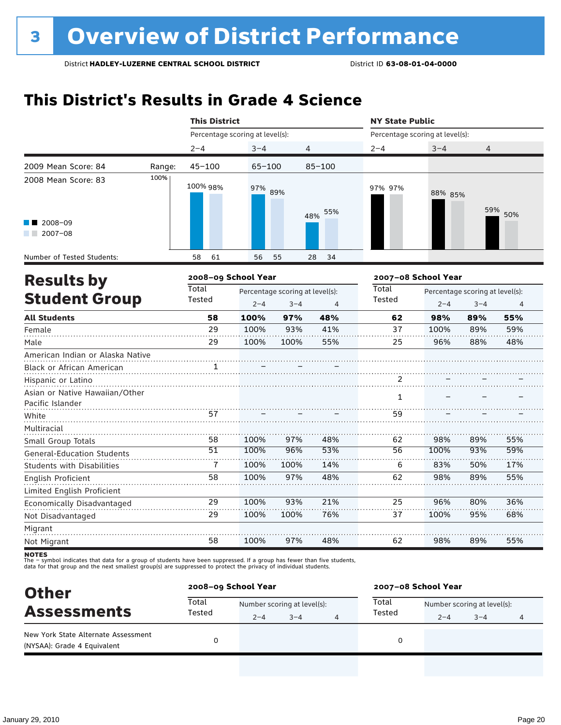### **This District's Results in Grade 4 Science**

|                                                                          |                                          | <b>This District</b> |                                            |      |                 | <b>NY State Public</b>          |                                            |                |     |  |
|--------------------------------------------------------------------------|------------------------------------------|----------------------|--------------------------------------------|------|-----------------|---------------------------------|--------------------------------------------|----------------|-----|--|
|                                                                          |                                          |                      | Percentage scoring at level(s):            |      |                 | Percentage scoring at level(s): |                                            |                |     |  |
|                                                                          |                                          | $2 - 4$              | $3 - 4$                                    |      | 4               | $2 - 4$                         | $3 - 4$                                    | 4              |     |  |
| 2009 Mean Score: 84                                                      | Range:                                   | $45 - 100$           | 65-100                                     |      | $85 - 100$      |                                 |                                            |                |     |  |
| 2008 Mean Score: 83                                                      | 100%                                     | 100% 98%             | 97% 89%                                    |      | 55%<br>48%      | 97% 97%                         | 88% 85%                                    | 59%            | 50% |  |
| 2008-09<br>$12007-08$                                                    |                                          |                      |                                            |      |                 |                                 |                                            |                |     |  |
| Number of Tested Students:                                               |                                          | 58<br>61             | 56                                         | 55   | 28<br>34        |                                 |                                            |                |     |  |
|                                                                          | 2008-09 School Year<br><b>Results by</b> |                      |                                            |      |                 |                                 | 2007-08 School Year                        |                |     |  |
| <b>Student Group</b>                                                     | <b>Total</b><br>Tested                   | $2 - 4$              | Percentage scoring at level(s):<br>$3 - 4$ | 4    | Total<br>Tested | $2 - 4$                         | Percentage scoring at level(s):<br>$3 - 4$ | $\overline{4}$ |     |  |
| <b>All Students</b>                                                      |                                          | 58                   | 100%                                       | 97%  | 48%             | 62                              | 98%                                        | 89%            | 55% |  |
| Female                                                                   |                                          | 29                   | 100%                                       | 93%  | 41%             | 37                              | 100%                                       | 89%            | 59% |  |
| Male                                                                     |                                          | 29                   | 100%                                       | 100% | 55%             | 25                              | 96%                                        | 88%            | 48% |  |
| American Indian or Alaska Native<br>Black or African American            |                                          | 1.                   |                                            |      |                 |                                 |                                            |                |     |  |
| Hispanic or Latino<br>Asian or Native Hawaiian/Other<br>Pacific Islander |                                          |                      |                                            |      |                 | 2<br>1                          |                                            |                |     |  |
| White                                                                    |                                          | 57                   |                                            |      |                 | 59                              |                                            |                |     |  |
| Multiracial<br>Small Group Totals                                        |                                          | 58                   | 100%                                       | 97%  | 48%             | 62                              | 98%                                        | 89%            | 55% |  |
| <b>General-Education Students</b>                                        |                                          | $\overline{51}$      | 100%                                       | 96%  | 53%             | 56                              | 100%                                       | 93%            | 59% |  |
| <b>Students with Disabilities</b>                                        |                                          | 7                    | 100%                                       | 100% | 14%             | 6                               | 83%                                        | 50%            | 17% |  |
| English Proficient                                                       |                                          | 58                   | 100%                                       | 97%  | 48%             | 62                              | 98%                                        | 89%            | 55% |  |
| Limited English Proficient                                               |                                          |                      |                                            |      |                 |                                 |                                            |                |     |  |
| Economically Disadvantaged                                               |                                          | 29                   | 100%                                       | 93%  | 21%             | 25                              | 96%                                        | 80%            | 36% |  |
| Not Disadvantaged                                                        |                                          | 29                   | 100%                                       | 100% | 76%             | 37                              | 100%                                       | 95%            | 68% |  |
| Migrant                                                                  |                                          |                      |                                            |      |                 |                                 |                                            |                |     |  |
| Not Migrant                                                              |                                          | 58                   | 100%                                       | 97%  | 48%             | 62                              | 98%                                        | 89%            | 55% |  |

| <b>Other</b>                                                       | 2008-09 School Year |                             |         |   | 2007-08 School Year |                             |         |   |  |
|--------------------------------------------------------------------|---------------------|-----------------------------|---------|---|---------------------|-----------------------------|---------|---|--|
| <b>Assessments</b>                                                 | Total<br>Tested     | Number scoring at level(s): |         |   | Total               | Number scoring at level(s): |         |   |  |
|                                                                    |                     | $2 - 4$                     | $3 - 4$ | 4 | Tested              | $2 - 4$                     | $3 - 4$ | 4 |  |
| New York State Alternate Assessment<br>(NYSAA): Grade 4 Equivalent |                     |                             |         |   | 0                   |                             |         |   |  |
|                                                                    |                     |                             |         |   |                     |                             |         |   |  |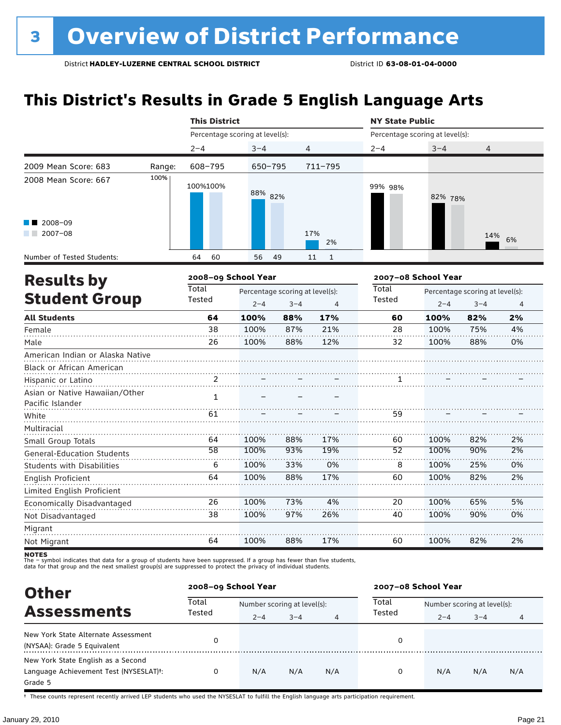### **This District's Results in Grade 5 English Language Arts**

|                                                               |        |                 | <b>This District</b>                       |                                            |                    |                 | <b>NY State Public</b>          |                                            |                |  |  |
|---------------------------------------------------------------|--------|-----------------|--------------------------------------------|--------------------------------------------|--------------------|-----------------|---------------------------------|--------------------------------------------|----------------|--|--|
|                                                               |        |                 | Percentage scoring at level(s):            |                                            |                    |                 | Percentage scoring at level(s): |                                            |                |  |  |
|                                                               |        | $2 - 4$         | $3 - 4$                                    | 4                                          |                    | $2 - 4$         | $3 - 4$                         | 4                                          |                |  |  |
| 2009 Mean Score: 683                                          | Range: | 608-795         | $650 - 795$                                |                                            | $711 - 795$        |                 |                                 |                                            |                |  |  |
| 2008 Mean Score: 667                                          | 100%   | 100%100%        | 88% 82%                                    |                                            |                    | 99% 98%         | 82% 78%                         |                                            |                |  |  |
| $\blacksquare$ 2008-09<br>$2007 - 08$                         |        |                 |                                            |                                            | 17%<br>2%          |                 |                                 | 14%                                        | 6%             |  |  |
| Number of Tested Students:                                    |        | 60<br>64        | 56                                         | 49                                         | 11<br>$\mathbf{1}$ |                 |                                 |                                            |                |  |  |
| <b>Results by</b>                                             |        |                 | 2008-09 School Year<br>2007-08 School Year |                                            |                    |                 |                                 |                                            |                |  |  |
| <b>Student Group</b>                                          |        | Total<br>Tested | $2 - 4$                                    | Percentage scoring at level(s):<br>$3 - 4$ | 4                  | Total<br>Tested | $2 - 4$                         | Percentage scoring at level(s):<br>$3 - 4$ | $\overline{4}$ |  |  |
| <b>All Students</b>                                           |        | 64              | 100%                                       | 88%                                        | 17%                | 60              | 100%                            | 82%                                        | 2%             |  |  |
| Female                                                        |        | 38              | 100%                                       | 87%                                        | 21%                | 28              | 100%                            | 75%                                        | 4%             |  |  |
| Male                                                          |        | 26              | 100%                                       | 88%                                        | 12%                | 32              | 100%                            | 88%                                        | 0%             |  |  |
| American Indian or Alaska Native<br>Black or African American |        |                 |                                            |                                            |                    |                 |                                 |                                            |                |  |  |
| Hispanic or Latino                                            |        | 2               |                                            |                                            |                    |                 |                                 |                                            |                |  |  |
| Asian or Native Hawaiian/Other<br>Pacific Islander            |        | $\mathbf{1}$    |                                            |                                            |                    |                 |                                 |                                            |                |  |  |
| White                                                         |        | 61              |                                            |                                            |                    | 59              |                                 |                                            |                |  |  |
| Multiracial                                                   |        |                 |                                            |                                            |                    |                 |                                 |                                            |                |  |  |
| Small Group Totals                                            |        | 64              | 100%                                       | 88%                                        | 17%                | 60              | 100%                            | 82%                                        | 2%             |  |  |
| <b>General-Education Students</b>                             |        | 58              | 100%                                       | 93%                                        | 19%                | $\overline{52}$ | 100%                            | 90%                                        | 2%             |  |  |
| <b>Students with Disabilities</b>                             |        | 6               | 100%                                       | 33%                                        | 0%                 | 8               | 100%                            | 25%                                        | 0%             |  |  |
| English Proficient                                            |        | 64              | 100%                                       | 88%                                        | 17%                | 60              | 100%                            | 82%                                        | 2%             |  |  |
| Limited English Proficient                                    |        |                 |                                            |                                            |                    |                 |                                 |                                            |                |  |  |
| Economically Disadvantaged                                    |        | 26              | 100%                                       | 73%                                        | 4%                 | 20              | 100%                            | 65%                                        | 5%             |  |  |
| Not Disadvantaged                                             |        | 38              | 100%                                       | 97%                                        | 26%                | 40              | 100%                            | 90%                                        | 0%             |  |  |
| Migrant                                                       |        |                 |                                            |                                            |                    |                 |                                 |                                            |                |  |  |
| Not Migrant                                                   |        | 64              | 100%                                       | 88%                                        | 17%                | 60              | 100%                            | 82%                                        | 2%             |  |  |

**NOTES**<br>The – symbol indicates that data for a group of students have been suppressed. If a group has fewer than five students,<br>data for that group and the next smallest group(s) are suppressed to protect the privacy of in

| <b>Other</b>                                                                                         |                 | 2008-09 School Year         |         |     | 2007-08 School Year |                             |         |     |  |
|------------------------------------------------------------------------------------------------------|-----------------|-----------------------------|---------|-----|---------------------|-----------------------------|---------|-----|--|
| <b>Assessments</b>                                                                                   | Total<br>Tested | Number scoring at level(s): |         |     | Total               | Number scoring at level(s): |         |     |  |
|                                                                                                      |                 | $2 - 4$                     | $3 - 4$ | 4   | Tested              | $2 - 4$                     | $3 - 4$ | 4   |  |
| New York State Alternate Assessment<br>(NYSAA): Grade 5 Equivalent                                   | 0               |                             |         |     | 0                   |                             |         |     |  |
| New York State English as a Second<br>Language Achievement Test (NYSESLAT) <sup>t</sup> :<br>Grade 5 | 0               | N/A                         | N/A     | N/A | 0                   | N/A                         | N/A     | N/A |  |

† These counts represent recently arrived LEP students who used the NYSESLAT to fulfill the English language arts participation requirement.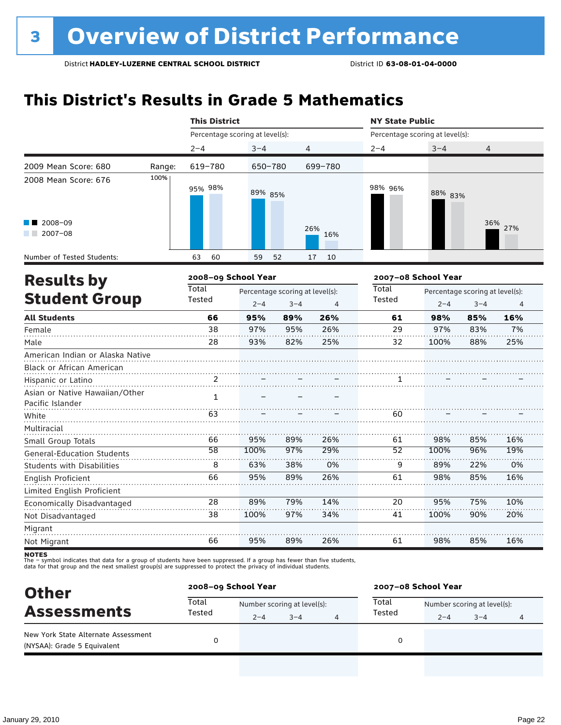### **This District's Results in Grade 5 Mathematics**

|                                                    |        | <b>This District</b>            |         |                                                              |            | <b>NY State Public</b>          |         |                                            |                |  |
|----------------------------------------------------|--------|---------------------------------|---------|--------------------------------------------------------------|------------|---------------------------------|---------|--------------------------------------------|----------------|--|
|                                                    |        | Percentage scoring at level(s): |         |                                                              |            | Percentage scoring at level(s): |         |                                            |                |  |
|                                                    |        | $2 - 4$                         | $3 - 4$ | 4                                                            |            | $2 - 4$                         | $3 - 4$ | 4                                          |                |  |
| 2009 Mean Score: 680                               | Range: | 619-780                         | 650-780 |                                                              | 699-780    |                                 |         |                                            |                |  |
| 2008 Mean Score: 676                               | 100%   | 95% 98%                         | 89% 85% |                                                              |            | 98% 96%                         | 88% 83% |                                            |                |  |
| 2008-09<br>$2007 - 08$                             |        |                                 |         |                                                              | 26%<br>16% |                                 |         |                                            | 36% 27%        |  |
| Number of Tested Students:                         |        | 60<br>63                        | 59      | 52                                                           | 17<br>10   |                                 |         |                                            |                |  |
| <b>Results by</b>                                  |        | 2008-09 School Year             |         |                                                              |            | 2007-08 School Year             |         |                                            |                |  |
| <b>Student Group</b>                               |        | <b>Total</b><br>Tested          | $2 - 4$ | Percentage scoring at level(s):<br>$3 - 4$<br>$\overline{4}$ |            |                                 | $2 - 4$ | Percentage scoring at level(s):<br>$3 - 4$ | $\overline{4}$ |  |
| <b>All Students</b>                                |        | 66                              | 95%     | 89%                                                          | 26%        | 61                              | 98%     | 85%                                        | 16%            |  |
| Female                                             |        | 38                              | 97%     | 95%                                                          | 26%        | 29                              | 97%     | 83%                                        | 7%             |  |
| Male                                               |        | 28                              | 93%     | 82%                                                          | 25%        | 32                              | 100%    | 88%                                        | 25%            |  |
| American Indian or Alaska Native                   |        |                                 |         |                                                              |            |                                 |         |                                            |                |  |
| Black or African American                          |        |                                 |         |                                                              |            |                                 |         |                                            |                |  |
| Hispanic or Latino                                 |        | 2                               |         |                                                              |            | 1                               |         |                                            |                |  |
| Asian or Native Hawaiian/Other<br>Pacific Islander |        | $\mathbf{1}$                    |         |                                                              |            |                                 |         |                                            |                |  |
| White                                              |        | 63                              |         |                                                              |            | 60                              |         |                                            |                |  |
| Multiracial                                        |        |                                 |         |                                                              |            |                                 |         |                                            |                |  |
| Small Group Totals                                 |        | 66                              | 95%     | 89%                                                          | 26%        | 61                              | 98%     | 85%                                        | 16%            |  |
| <b>General-Education Students</b>                  |        | 58                              | 100%    | 97%                                                          | 29%        | $\overline{52}$                 | 100%    | 96%                                        | 19%            |  |
| <b>Students with Disabilities</b>                  |        | 8                               | 63%     | 38%                                                          | 0%         | 9                               | 89%     | 22%                                        | 0%             |  |
| <b>English Proficient</b>                          |        | 66                              | 95%     | 89%                                                          | 26%        | 61                              | 98%     | 85%                                        | 16%            |  |
| Limited English Proficient                         |        |                                 |         |                                                              |            |                                 |         |                                            |                |  |
| Economically Disadvantaged                         |        | 28                              | 89%     | 79%                                                          | 14%        | 20                              | 95%     | 75%                                        | 10%            |  |
| Not Disadvantaged                                  |        | 38                              | 100%    | 97%                                                          | 34%        | 41                              | 100%    | 90%                                        | 20%            |  |
| Migrant                                            |        |                                 |         |                                                              |            |                                 |         |                                            |                |  |
| Not Migrant                                        |        | 66                              | 95%     | 89%                                                          | 26%        | 61                              | 98%     | 85%                                        | 16%            |  |

| <b>Other</b>                                                       |                 | 2008-09 School Year         |         |  |        | 2007-08 School Year         |         |   |  |  |
|--------------------------------------------------------------------|-----------------|-----------------------------|---------|--|--------|-----------------------------|---------|---|--|--|
| <b>Assessments</b>                                                 | Total<br>Tested | Number scoring at level(s): |         |  | Total  | Number scoring at level(s): |         |   |  |  |
|                                                                    |                 | $2 - 4$                     | $3 - 4$ |  | Tested | $2 - 4$                     | $3 - 4$ | 4 |  |  |
| New York State Alternate Assessment<br>(NYSAA): Grade 5 Equivalent |                 |                             |         |  |        |                             |         |   |  |  |
|                                                                    |                 |                             |         |  |        |                             |         |   |  |  |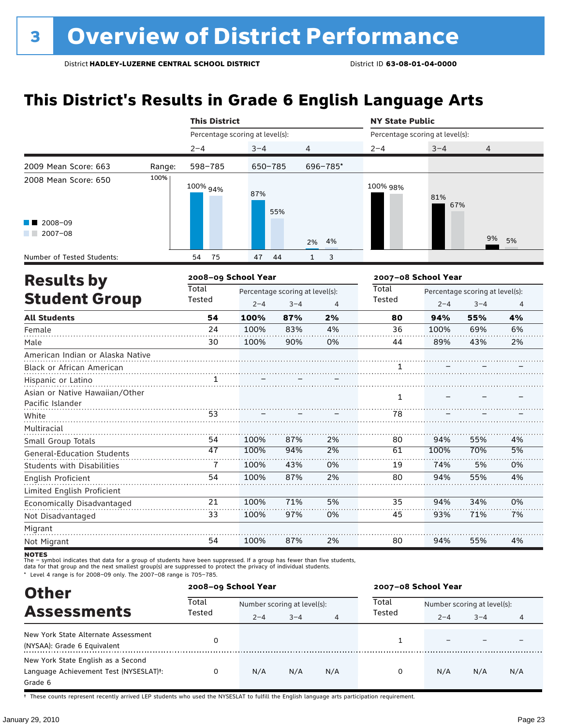### **This District's Results in Grade 6 English Language Arts**

|                                                               |        | <b>This District</b> |                                 |                                 |                   | <b>NY State Public</b>          |      |                                                                                                                                      |                |  |
|---------------------------------------------------------------|--------|----------------------|---------------------------------|---------------------------------|-------------------|---------------------------------|------|--------------------------------------------------------------------------------------------------------------------------------------|----------------|--|
|                                                               |        |                      | Percentage scoring at level(s): |                                 |                   | Percentage scoring at level(s): |      | $3 - 4$<br>4<br>81%<br>67%<br>9%<br>Percentage scoring at level(s):<br>$2 - 4$<br>$3 - 4$<br>94%<br>55%<br>100%<br>69%<br>89%<br>43% |                |  |
|                                                               |        | $2 - 4$              | $3 - 4$                         | $\overline{4}$                  |                   | $2 - 4$                         |      |                                                                                                                                      |                |  |
| 2009 Mean Score: 663                                          | Range: | 598-785              | $650 - 785$                     |                                 | 696-785*          |                                 |      |                                                                                                                                      |                |  |
| 2008 Mean Score: 650                                          | 100%   | 100% 94%             | 87%                             | 55%                             |                   | 100% 98%                        |      |                                                                                                                                      |                |  |
| 2008-09<br>$2007 - 08$                                        |        |                      |                                 |                                 | 4%<br>2%          |                                 |      |                                                                                                                                      | 5%             |  |
| Number of Tested Students:                                    |        | 54<br>75             | 47                              | 44                              | $\mathbf{1}$<br>3 |                                 |      |                                                                                                                                      |                |  |
| <b>Results by</b>                                             |        | 2008-09 School Year  |                                 |                                 |                   | 2007-08 School Year             |      |                                                                                                                                      |                |  |
|                                                               |        | Total                |                                 | Percentage scoring at level(s): |                   | Total                           |      |                                                                                                                                      |                |  |
| <b>Student Group</b>                                          |        | Tested               | $2 - 4$                         | $3 - 4$                         | 4                 | Tested                          |      |                                                                                                                                      | $\overline{4}$ |  |
| <b>All Students</b>                                           |        | 54                   | 100%                            | 87%                             | 2%                | 80                              |      |                                                                                                                                      | 4%             |  |
| Female                                                        |        | 24                   | 100%                            | 83%                             | 4%                | 36                              |      |                                                                                                                                      | 6%             |  |
| Male                                                          |        | 30                   | 100%                            | 90%                             | 0%                | 44                              |      |                                                                                                                                      | 2%             |  |
| American Indian or Alaska Native<br>Black or African American |        |                      |                                 |                                 |                   | 1                               |      |                                                                                                                                      |                |  |
| Hispanic or Latino                                            |        |                      |                                 |                                 |                   |                                 |      |                                                                                                                                      |                |  |
| Asian or Native Hawaiian/Other<br>Pacific Islander            |        |                      |                                 |                                 |                   | $\mathbf{1}$                    |      |                                                                                                                                      |                |  |
| White                                                         |        | 53                   |                                 |                                 |                   | 78                              |      |                                                                                                                                      |                |  |
| Multiracial                                                   |        |                      |                                 |                                 |                   |                                 |      |                                                                                                                                      |                |  |
| Small Group Totals                                            |        | 54                   | 100%                            | 87%                             | 2%                | 80                              | 94%  | 55%                                                                                                                                  | 4%             |  |
| <b>General-Education Students</b>                             |        | 47                   | 100%                            | 94%                             | 2%                | 61                              | 100% | 70%                                                                                                                                  | 5%             |  |
| <b>Students with Disabilities</b>                             |        | 7                    | 100%                            | 43%                             | 0%                | 19                              | 74%  | 5%                                                                                                                                   | 0%             |  |
| <b>English Proficient</b>                                     |        | 54                   | 100%                            | 87%                             | 2%                | 80                              | 94%  | 55%                                                                                                                                  | 4%             |  |
| Limited English Proficient                                    |        |                      |                                 |                                 |                   |                                 |      |                                                                                                                                      |                |  |
| Economically Disadvantaged                                    |        | 21                   | 100%                            | 71%                             | 5%                | 35                              | 94%  | 34%                                                                                                                                  | 0%             |  |
| Not Disadvantaged                                             |        | 33                   | 100%                            | 97%                             | 0%                | 45                              | 93%  | 71%                                                                                                                                  | 7%             |  |
| Migrant                                                       |        |                      |                                 |                                 |                   |                                 |      |                                                                                                                                      |                |  |
| Not Migrant                                                   |        | 54                   | 100%                            | 87%                             | 2%                | 80                              | 94%  | 55%                                                                                                                                  | 4%             |  |

**NOTES**<br>The – symbol indicates that data for a group of students have been suppressed. If a group has fewer than five students,<br>data for that group and the next smallest group(s) are suppressed to protect the privacy of in

\* Level 4 range is for 2008–09 only. The 2007–08 range is 705–785.

| <b>Other</b>                                        |                 | 2008-09 School Year         |         |                | 2007-08 School Year |                             |         |     |  |
|-----------------------------------------------------|-----------------|-----------------------------|---------|----------------|---------------------|-----------------------------|---------|-----|--|
| <b>Assessments</b>                                  | Total<br>Tested | Number scoring at level(s): |         |                | Total<br>Tested     | Number scoring at level(s): |         |     |  |
|                                                     |                 | $2 - 4$                     | $3 - 4$ | $\overline{4}$ |                     | $2 - 4$                     | $3 - 4$ | 4   |  |
| New York State Alternate Assessment                 |                 |                             |         |                |                     |                             |         |     |  |
| (NYSAA): Grade 6 Equivalent                         |                 |                             |         |                |                     |                             |         |     |  |
| New York State English as a Second                  |                 |                             |         |                |                     |                             |         |     |  |
| Language Achievement Test (NYSESLAT) <sup>+</sup> : | 0               | N/A                         | N/A     | N/A            | 0                   | N/A                         | N/A     | N/A |  |
| Grade 6                                             |                 |                             |         |                |                     |                             |         |     |  |

† These counts represent recently arrived LEP students who used the NYSESLAT to fulfill the English language arts participation requirement.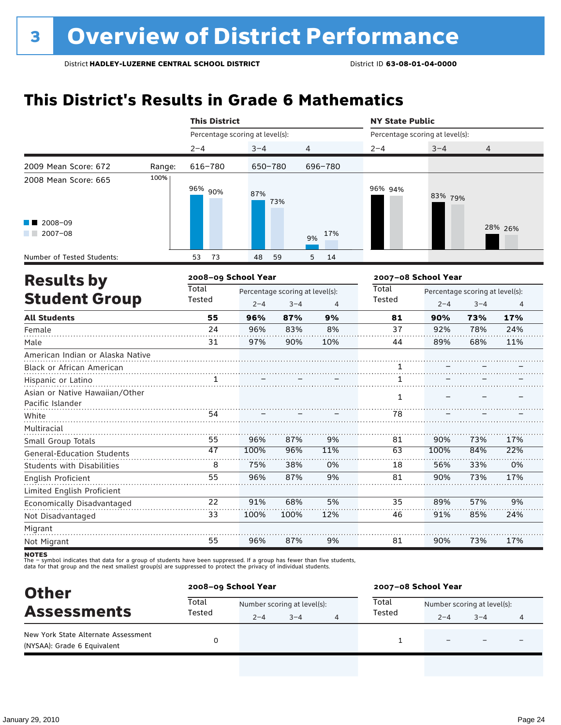### **This District's Results in Grade 6 Mathematics**

|                                                                          |                     | <b>This District</b>            |         |                                            |           | <b>NY State Public</b>          |         |                                            |                |  |
|--------------------------------------------------------------------------|---------------------|---------------------------------|---------|--------------------------------------------|-----------|---------------------------------|---------|--------------------------------------------|----------------|--|
|                                                                          |                     | Percentage scoring at level(s): |         |                                            |           | Percentage scoring at level(s): |         |                                            |                |  |
|                                                                          |                     | $2 - 4$                         | $3 - 4$ |                                            | 4         | $2 - 4$                         | $3 - 4$ | $\overline{4}$                             |                |  |
| 2009 Mean Score: 672                                                     | Range:              | 616-780                         | 650-780 |                                            | 696-780   |                                 |         |                                            |                |  |
| 2008 Mean Score: 665                                                     | 100%                | 96% 90%                         | 87%     | 73%                                        |           | 96% 94%                         | 83% 79% |                                            |                |  |
| 2008-09<br>$12007-08$                                                    |                     |                                 |         |                                            | 17%<br>9% |                                 |         |                                            | 28% 26%        |  |
| Number of Tested Students:                                               |                     | 53<br>73                        | 48      | 59                                         | 5<br>14   |                                 |         |                                            |                |  |
| <b>Results by</b>                                                        | 2008-09 School Year |                                 |         |                                            |           | 2007-08 School Year             |         |                                            |                |  |
| <b>Student Group</b>                                                     |                     | <b>Total</b><br>Tested          | $2 - 4$ | Percentage scoring at level(s):<br>$3 - 4$ | 4         | Total<br>Tested                 | $2 - 4$ | Percentage scoring at level(s):<br>$3 - 4$ | $\overline{4}$ |  |
| <b>All Students</b>                                                      |                     | 55                              | 96%     | 87%                                        | 9%        | 81                              | 90%     | 73%                                        | 17%            |  |
| Female                                                                   |                     | 24                              | 96%     | 83%                                        | 8%        | 37                              | 92%     | 78%                                        | 24%            |  |
| Male                                                                     |                     | 31                              | 97%     | 90%                                        | 10%       | 44                              | 89%     | 68%                                        | 11%            |  |
| American Indian or Alaska Native<br>Black or African American            |                     |                                 |         |                                            |           | 1                               |         |                                            |                |  |
| Hispanic or Latino<br>Asian or Native Hawaiian/Other<br>Pacific Islander |                     | 1                               |         |                                            |           | 1<br>$\mathbf{1}$               |         |                                            |                |  |
| White                                                                    |                     | 54                              |         |                                            |           | 78                              |         |                                            |                |  |
| Multiracial<br>Small Group Totals                                        |                     | 55                              | 96%     | 87%                                        | 9%        | 81                              | 90%     | 73%                                        | 17%            |  |
| <b>General-Education Students</b>                                        |                     | 47                              | 100%    | 96%                                        | 11%       | 63                              | 100%    | 84%                                        | 22%            |  |
| <b>Students with Disabilities</b>                                        |                     | 8                               | 75%     | 38%                                        | 0%        | 18                              | 56%     | 33%                                        | 0%             |  |
| <b>English Proficient</b>                                                |                     | 55                              | 96%     | 87%                                        | 9%        | 81                              | 90%     | 73%                                        | 17%            |  |
| Limited English Proficient                                               |                     |                                 |         |                                            |           |                                 |         |                                            |                |  |
| Economically Disadvantaged                                               |                     | 22                              | 91%     | 68%                                        | 5%        | 35                              | 89%     | 57%                                        | 9%             |  |
| Not Disadvantaged                                                        |                     | 33                              | 100%    | 100%                                       | 12%       | 46                              | 91%     | 85%                                        | 24%            |  |
| Migrant                                                                  |                     |                                 |         |                                            |           |                                 |         |                                            |                |  |
| Not Migrant                                                              |                     | 55                              | 96%     | 87%                                        | 9%        | 81                              | 90%     | 73%                                        | 17%            |  |

| <b>Other</b>                                                       |                 | 2008-09 School Year |                             |   | 2007-08 School Year |                             |         |   |  |
|--------------------------------------------------------------------|-----------------|---------------------|-----------------------------|---|---------------------|-----------------------------|---------|---|--|
| <b>Assessments</b>                                                 | Total<br>Tested |                     | Number scoring at level(s): |   | Total               | Number scoring at level(s): |         |   |  |
|                                                                    |                 | $2 - 4$             | $3 - 4$                     | 4 | Tested              | $2 - 4$                     | $3 - 4$ | 4 |  |
| New York State Alternate Assessment<br>(NYSAA): Grade 6 Equivalent |                 |                     |                             |   |                     |                             | -       |   |  |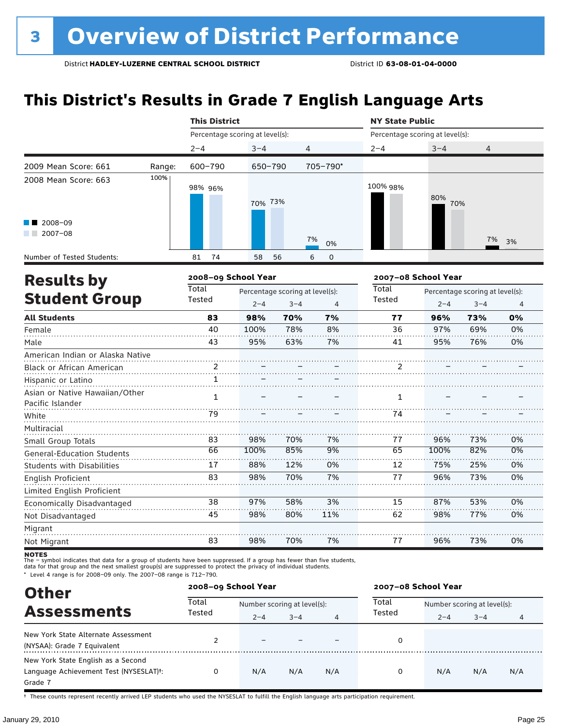### **This District's Results in Grade 7 English Language Arts**

|                                  |        |                                 | <b>This District</b>            |         |          |              | <b>NY State Public</b>                                                                                                                                     |  |    |  |  |  |
|----------------------------------|--------|---------------------------------|---------------------------------|---------|----------|--------------|------------------------------------------------------------------------------------------------------------------------------------------------------------|--|----|--|--|--|
|                                  |        | Percentage scoring at level(s): |                                 |         |          |              | Percentage scoring at level(s):<br>$3 - 4$<br>4<br>80%<br>70%<br>7%<br>2007-08 School Year<br>$2 - 4$<br>$3 - 4$<br>96%<br>73%<br>97%<br>69%<br>95%<br>76% |  |    |  |  |  |
|                                  |        | $2 - 4$                         | $3 - 4$                         | 4       |          | $2 - 4$      |                                                                                                                                                            |  |    |  |  |  |
| 2009 Mean Score: 661             | Range: | 600-790                         | 650-790                         |         | 705-790* |              |                                                                                                                                                            |  |    |  |  |  |
| 2008 Mean Score: 663             | 100%   | 98% 96%                         | 70% 73%                         |         |          | 100% 98%     |                                                                                                                                                            |  |    |  |  |  |
| 2008-09<br>$2007 - 08$           |        |                                 |                                 |         |          |              |                                                                                                                                                            |  |    |  |  |  |
|                                  |        |                                 |                                 |         | 7%<br>0% |              |                                                                                                                                                            |  | 3% |  |  |  |
| Number of Tested Students:       |        | 81<br>74                        | 58                              | 56<br>6 | 0        |              |                                                                                                                                                            |  |    |  |  |  |
| <b>Results by</b>                |        | 2008-09 School Year             |                                 |         |          |              |                                                                                                                                                            |  |    |  |  |  |
|                                  |        | <b>Total</b>                    | Percentage scoring at level(s): |         |          | <b>Total</b> | Percentage scoring at level(s):                                                                                                                            |  |    |  |  |  |
| <b>Student Group</b>             |        | Tested                          | $2 - 4$                         | $3 - 4$ | 4        | Tested       |                                                                                                                                                            |  | 4  |  |  |  |
| <b>All Students</b>              |        | 83                              | 98%                             | 70%     | 7%       | 77           |                                                                                                                                                            |  | 0% |  |  |  |
| Female                           |        | 40                              | 100%                            | 78%     | 8%       | 36           |                                                                                                                                                            |  | 0% |  |  |  |
| Male                             |        | 43                              | 95%                             | 63%     | 7%       | 41           |                                                                                                                                                            |  | 0% |  |  |  |
| American Indian or Alaska Native |        |                                 |                                 |         |          |              |                                                                                                                                                            |  |    |  |  |  |
| <b>Black or African American</b> |        | $\mathcal{P}$                   |                                 |         |          | 2            |                                                                                                                                                            |  |    |  |  |  |
| Hispanic or Latino               |        | 1                               |                                 |         |          |              |                                                                                                                                                            |  |    |  |  |  |
| Asian ar Nativa Housellan (Othar |        |                                 |                                 |         |          |              |                                                                                                                                                            |  |    |  |  |  |

| <b>Hispanic or Latino</b>         |    |      |     |     |    |      |     |    |
|-----------------------------------|----|------|-----|-----|----|------|-----|----|
| Asian or Native Hawaiian/Other    |    |      |     |     |    |      |     |    |
| Pacific Islander                  |    |      |     |     |    |      |     |    |
| White                             | 79 |      |     |     | 74 |      |     |    |
| Multiracial                       |    |      |     |     |    |      |     |    |
| Small Group Totals                | 83 | 98%  | 70% | 7%  | 77 | 96%  | 73% | 0% |
| <b>General-Education Students</b> | 66 | 100% | 85% | 9%  | 65 | 100% | 82% | 0% |
| <b>Students with Disabilities</b> | 17 | 88%  | 12% | 0%  | 12 | 75%  | 25% | 0% |
| English Proficient                | 83 | 98%  | 70% | 7%  | 77 | 96%  | 73% | 0% |
| Limited English Proficient        |    |      |     |     |    |      |     |    |
| Economically Disadvantaged        | 38 | 97%  | 58% | 3%  | 15 | 87%  | 53% | 0% |
| Not Disadvantaged                 | 45 | 98%  | 80% | 11% | 62 | 98%  | 77% | 0% |
| Migrant                           |    |      |     |     |    |      |     |    |
| Not Migrant                       | 83 | 98%  | 70% | 7%  | 77 | 96%  | 73% | 0% |

**NOTES**<br>The – symbol indicates that data for a group of students have been suppressed. If a group has fewer than five students,<br>data for that group and the next smallest group(s) are suppressed to protect the privacy of in

\* Level 4 range is for 2008–09 only. The 2007–08 range is 712–790.

| <b>Other</b>                                        |        | 2008-09 School Year         |         |     |        | 2007-08 School Year         |         |     |  |  |
|-----------------------------------------------------|--------|-----------------------------|---------|-----|--------|-----------------------------|---------|-----|--|--|
| <b>Assessments</b>                                  | Total  | Number scoring at level(s): |         |     | Total  | Number scoring at level(s): |         |     |  |  |
|                                                     | Tested | $2 - 4$                     | $3 - 4$ | 4   | Tested | $2 - 4$                     | $3 - 4$ | 4   |  |  |
| New York State Alternate Assessment                 |        | $\overline{\phantom{0}}$    |         |     | 0      |                             |         |     |  |  |
| (NYSAA): Grade 7 Equivalent                         |        |                             |         |     |        |                             |         |     |  |  |
| New York State English as a Second                  |        |                             |         |     |        |                             |         |     |  |  |
| Language Achievement Test (NYSESLAT) <sup>+</sup> : | 0      | N/A                         | N/A     | N/A | 0      | N/A                         | N/A     | N/A |  |  |
| Grade 7                                             |        |                             |         |     |        |                             |         |     |  |  |

† These counts represent recently arrived LEP students who used the NYSESLAT to fulfill the English language arts participation requirement.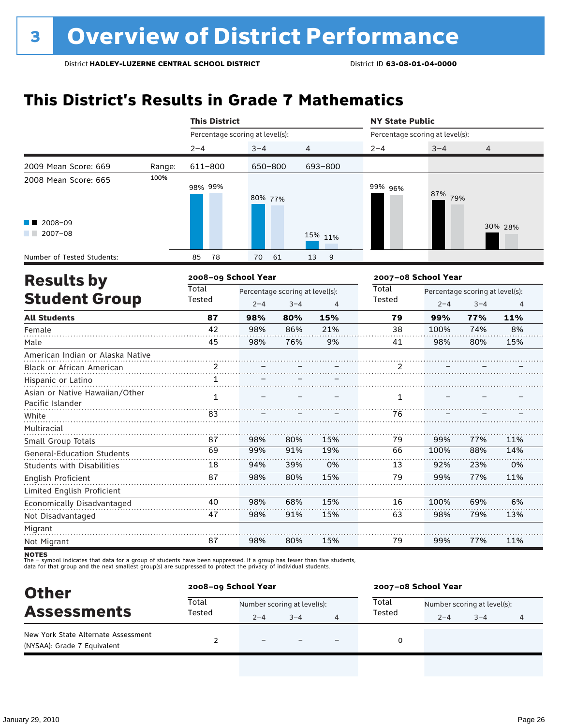### **This District's Results in Grade 7 Mathematics**

|                                                    |                     | <b>This District</b>            |                                            |         |                | <b>NY State Public</b>          |         |                                            |         |  |
|----------------------------------------------------|---------------------|---------------------------------|--------------------------------------------|---------|----------------|---------------------------------|---------|--------------------------------------------|---------|--|
|                                                    |                     | Percentage scoring at level(s): |                                            |         |                | Percentage scoring at level(s): |         |                                            |         |  |
|                                                    |                     | $2 - 4$                         | $3 - 4$                                    |         | 4              | $2 - 4$                         | $3 - 4$ | $\overline{4}$                             |         |  |
| 2009 Mean Score: 669                               | Range:              | 611-800                         | 650-800                                    |         | 693-800        |                                 |         |                                            |         |  |
| 2008 Mean Score: 665                               | 100%                | 98% 99%                         | 80% 77%                                    |         |                | 99% 96%                         | 87% 79% |                                            |         |  |
| 2008-09<br>$12007-08$                              |                     |                                 |                                            |         | 15% 11%        |                                 |         |                                            | 30% 28% |  |
| Number of Tested Students:                         |                     | 78<br>85                        | 70                                         | 61      | 13<br>9        |                                 |         |                                            |         |  |
|                                                    | 2008-09 School Year |                                 |                                            |         |                | 2007-08 School Year             |         |                                            |         |  |
| <b>Results by</b><br><b>Student Group</b>          |                     | <b>Total</b><br>Tested          | Percentage scoring at level(s):<br>$2 - 4$ | $3 - 4$ | $\overline{4}$ | Total<br>Tested                 | $2 - 4$ | Percentage scoring at level(s):<br>$3 - 4$ | 4       |  |
| <b>All Students</b>                                |                     | 87                              | 98%                                        | 80%     | 15%            | 79                              | 99%     | 77%                                        | 11%     |  |
| Female                                             |                     | 42                              | 98%                                        | 86%     | 21%            | 38                              | 100%    | 74%                                        | 8%      |  |
| Male                                               |                     | 45                              | 98%                                        | 76%     | 9%             | 41                              | 98%     | 80%                                        | 15%     |  |
| American Indian or Alaska Native                   |                     |                                 |                                            |         |                |                                 |         |                                            |         |  |
| Black or African American                          |                     |                                 |                                            |         |                |                                 |         |                                            |         |  |
| Hispanic or Latino                                 |                     | 1                               |                                            |         |                |                                 |         |                                            |         |  |
| Asian or Native Hawaiian/Other<br>Pacific Islander |                     | $\mathbf{1}$                    |                                            |         |                | 1                               |         |                                            |         |  |
| White                                              |                     | 83                              |                                            |         |                | 76                              |         |                                            |         |  |
| Multiracial                                        |                     |                                 |                                            |         |                |                                 |         |                                            |         |  |
| Small Group Totals                                 |                     | 87                              | 98%                                        | 80%     | 15%            | 79                              | 99%     | 77%                                        | 11%     |  |
| <b>General-Education Students</b>                  |                     | 69                              | 99%                                        | 91%     | 19%            | 66                              | 100%    | 88%                                        | 14%     |  |
| <b>Students with Disabilities</b>                  |                     | 18                              | 94%                                        | 39%     | 0%             | 13                              | 92%     | 23%                                        | 0%      |  |
| English Proficient                                 |                     | 87                              | 98%                                        | 80%     | 15%            | 79                              | 99%     | 77%                                        | 11%     |  |
| Limited English Proficient                         |                     |                                 |                                            |         |                |                                 |         |                                            |         |  |
| Economically Disadvantaged                         |                     | 40                              | 98%                                        | 68%     | 15%            | 16                              | 100%    | 69%                                        | 6%      |  |
| Not Disadvantaged                                  |                     | 47                              | 98%                                        | 91%     | 15%            | 63                              | 98%     | 79%                                        | 13%     |  |
| Migrant                                            |                     |                                 |                                            |         |                |                                 |         |                                            |         |  |
| Not Migrant                                        |                     | 87                              | 98%                                        | 80%     | 15%            | 79                              | 99%     | 77%                                        | 11%     |  |

| <b>Other</b>                                                       | 2008-09 School Year |                             |         |   | 2007-08 School Year |                             |         |  |  |
|--------------------------------------------------------------------|---------------------|-----------------------------|---------|---|---------------------|-----------------------------|---------|--|--|
| <b>Assessments</b>                                                 | Total               | Number scoring at level(s): |         |   | Total               | Number scoring at level(s): |         |  |  |
|                                                                    | Tested              | $2 - 4$                     | $3 - 4$ |   | Tested              | $2 - 4$                     | $3 - 4$ |  |  |
| New York State Alternate Assessment<br>(NYSAA): Grade 7 Equivalent |                     | $\equiv$                    |         | - | 0                   |                             |         |  |  |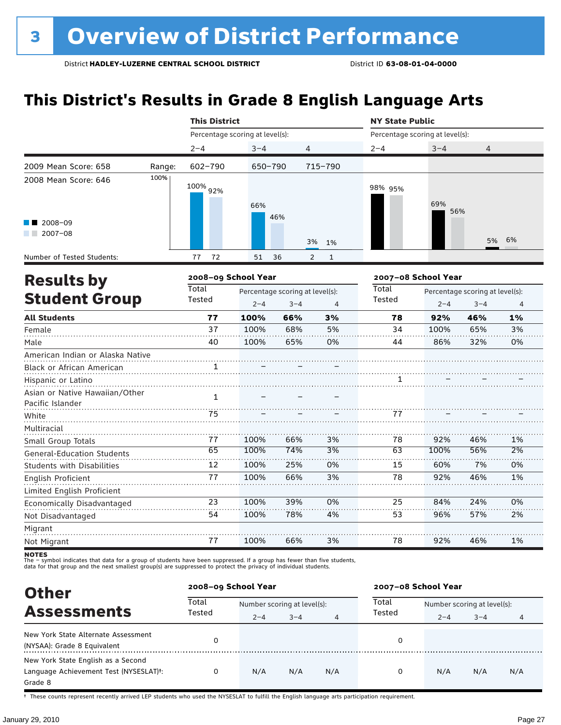### **This District's Results in Grade 8 English Language Arts**

|                                                    |                     |                                 | <b>This District</b> |                                 |                                |                                 | <b>NY State Public</b> |                                 |                |  |  |
|----------------------------------------------------|---------------------|---------------------------------|----------------------|---------------------------------|--------------------------------|---------------------------------|------------------------|---------------------------------|----------------|--|--|
|                                                    |                     | Percentage scoring at level(s): |                      |                                 |                                | Percentage scoring at level(s): |                        |                                 |                |  |  |
|                                                    |                     | $2 - 4$                         | $3 - 4$              | 4                               |                                | $2 - 4$                         | $3 - 4$                | 4                               |                |  |  |
| 2009 Mean Score: 658                               | Range:              | 602-790                         | 650-790              |                                 | 715-790                        |                                 |                        |                                 |                |  |  |
| 2008 Mean Score: 646                               | 100%                | 100% 92%                        | 66%                  |                                 |                                | 98% 95%                         | 69%<br>56%             |                                 |                |  |  |
| 2008-09<br>$2007 - 08$                             |                     |                                 |                      | 46%                             | 3%<br>1%                       |                                 |                        | 5%                              | 6%             |  |  |
| Number of Tested Students:                         |                     | 72<br>77                        | 51                   | 36                              | $\overline{2}$<br>$\mathbf{1}$ |                                 |                        |                                 |                |  |  |
| <b>Results by</b>                                  | 2008-09 School Year |                                 |                      |                                 |                                | 2007-08 School Year             |                        |                                 |                |  |  |
|                                                    |                     | Total                           |                      | Percentage scoring at level(s): |                                | Total                           |                        | Percentage scoring at level(s): |                |  |  |
| <b>Student Group</b>                               |                     | Tested                          | $2 - 4$              | $3 - 4$                         | 4                              | Tested                          | $2 - 4$                | $3 - 4$                         | $\overline{4}$ |  |  |
| <b>All Students</b>                                |                     | 77                              | 100%                 | 66%                             | 3%                             | 78                              | 92%                    | 46%                             | 1%             |  |  |
| Female                                             |                     | 37                              | 100%                 | 68%                             | 5%                             | 34                              | 100%                   | 65%                             | 3%             |  |  |
| Male                                               |                     | 40                              | 100%                 | 65%                             | 0%                             | 44                              | 86%                    | 32%                             | 0%             |  |  |
| American Indian or Alaska Native                   |                     |                                 |                      |                                 |                                |                                 |                        |                                 |                |  |  |
| Black or African American                          |                     | 1                               |                      |                                 |                                |                                 |                        |                                 |                |  |  |
| Hispanic or Latino                                 |                     |                                 |                      |                                 |                                |                                 |                        |                                 |                |  |  |
| Asian or Native Hawaiian/Other<br>Pacific Islander |                     | $\mathbf{1}$                    |                      |                                 |                                |                                 |                        |                                 |                |  |  |
| White                                              |                     | 75                              |                      |                                 |                                | 77                              |                        |                                 |                |  |  |
| Multiracial<br>Small Group Totals                  |                     | 77                              | 100%                 | 66%                             | 3%                             | 78                              | 92%                    | 46%                             | 1%             |  |  |
| <b>General-Education Students</b>                  |                     | 65                              | 100%                 | 74%                             | 3%                             | 63                              | 100%                   | 56%                             | 2%             |  |  |
| <b>Students with Disabilities</b>                  |                     | 12                              | 100%                 | 25%                             | 0%                             | 15                              | 60%                    | 7%                              | 0%             |  |  |
| English Proficient                                 |                     | 77                              | 100%                 | 66%                             | 3%                             | 78                              | 92%                    | 46%                             | 1%             |  |  |
| Limited English Proficient                         |                     |                                 |                      |                                 |                                |                                 |                        |                                 |                |  |  |
| Economically Disadvantaged                         |                     | 23                              | 100%                 | 39%                             | 0%                             | 25                              | 84%                    | 24%                             | 0%             |  |  |
| Not Disadvantaged                                  |                     | 54                              | 100%                 | 78%                             | 4%                             | 53                              | 96%                    | 57%                             | 2%             |  |  |
| Migrant                                            |                     |                                 |                      |                                 |                                |                                 |                        |                                 |                |  |  |
| Not Migrant                                        |                     | 77                              | 100%                 | 66%                             | 3%                             | 78                              | 92%                    | 46%                             | 1%             |  |  |

**NOTES**<br>The – symbol indicates that data for a group of students have been suppressed. If a group has fewer than five students,<br>data for that group and the next smallest group(s) are suppressed to protect the privacy of in

| <b>Other</b>                                                                                         | 2008-09 School Year |                             |         |     | 2007-08 School Year |                             |         |     |  |
|------------------------------------------------------------------------------------------------------|---------------------|-----------------------------|---------|-----|---------------------|-----------------------------|---------|-----|--|
|                                                                                                      | Total<br>Tested     | Number scoring at level(s): |         |     | Total               | Number scoring at level(s): |         |     |  |
| <b>Assessments</b>                                                                                   |                     | $2 - 4$                     | $3 - 4$ | 4   | Tested              | $2 - 4$                     | $3 - 4$ | 4   |  |
| New York State Alternate Assessment<br>(NYSAA): Grade 8 Equivalent                                   | 0                   |                             |         |     | 0                   |                             |         |     |  |
| New York State English as a Second<br>Language Achievement Test (NYSESLAT) <sup>+</sup> :<br>Grade 8 |                     | N/A                         | N/A     | N/A | 0                   | N/A                         | N/A     | N/A |  |

† These counts represent recently arrived LEP students who used the NYSESLAT to fulfill the English language arts participation requirement.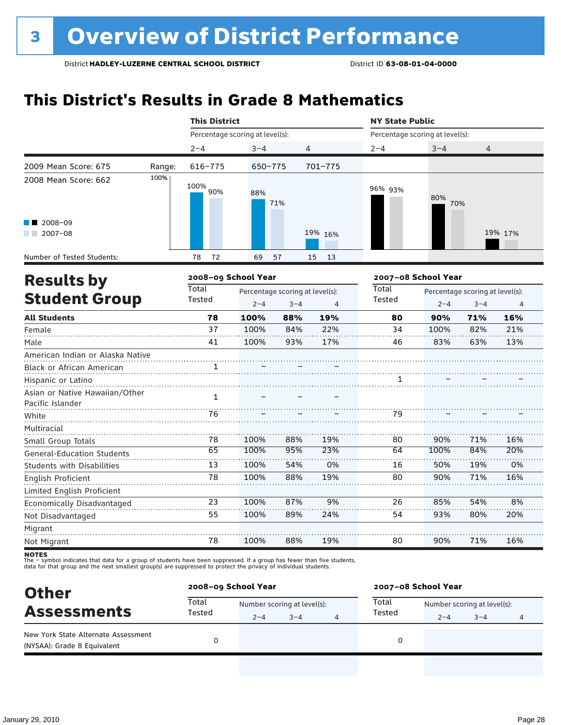### **This District's Results in Grade 8 Mathematics**

|                                                               |                        | <b>This District</b>                                                    |         |     |                 | <b>NY State Public</b>          |                                            |                |         |  |
|---------------------------------------------------------------|------------------------|-------------------------------------------------------------------------|---------|-----|-----------------|---------------------------------|--------------------------------------------|----------------|---------|--|
|                                                               |                        | Percentage scoring at level(s):                                         |         |     |                 | Percentage scoring at level(s): |                                            |                |         |  |
|                                                               |                        | $2 - 4$                                                                 | $3 - 4$ | 4   |                 | $2 - 4$                         | $3 - 4$                                    | $\overline{4}$ |         |  |
| 2009 Mean Score: 675                                          | Range:                 | 616-775                                                                 | 650-775 |     | $701 - 775$     |                                 |                                            |                |         |  |
| 2008 Mean Score: 662                                          | 100%                   | 100% 90%                                                                | 88%     | 71% |                 | 96% 93%                         | 80%<br>70%                                 |                |         |  |
| 2008-09<br>$12007-08$                                         |                        |                                                                         |         |     | 19% 16%         |                                 |                                            |                | 19% 17% |  |
| Number of Tested Students:                                    |                        | 72<br>78                                                                | 69      | 57  | 15<br>13        |                                 |                                            |                |         |  |
| <b>Results by</b>                                             |                        | 2008-09 School Year                                                     |         |     |                 |                                 | 2007-08 School Year                        |                |         |  |
| <b>Student Group</b>                                          | <b>Total</b><br>Tested | Percentage scoring at level(s):<br>$2 - 4$<br>$3 - 4$<br>$\overline{4}$ |         |     | Total<br>Tested | $2 - 4$                         | Percentage scoring at level(s):<br>$3 - 4$ | $\overline{4}$ |         |  |
| <b>All Students</b>                                           |                        | 78                                                                      | 100%    | 88% | 19%             | 80                              | 90%                                        | 71%            | 16%     |  |
| Female                                                        |                        | 37                                                                      | 100%    | 84% | 22%             | 34                              | 100%                                       | 82%            | 21%     |  |
| Male                                                          |                        | 41                                                                      | 100%    | 93% | 17%             | 46                              | 83%                                        | 63%            | 13%     |  |
| American Indian or Alaska Native<br>Black or African American |                        | 1.                                                                      |         |     |                 |                                 |                                            |                |         |  |
| Hispanic or Latino                                            |                        |                                                                         |         |     |                 |                                 |                                            |                |         |  |
| Asian or Native Hawaiian/Other<br>Pacific Islander            |                        | $\mathbf{1}$                                                            |         |     |                 |                                 |                                            |                |         |  |
| White                                                         |                        | 76                                                                      |         |     |                 | 79                              |                                            |                |         |  |
| Multiracial                                                   |                        |                                                                         |         |     |                 |                                 |                                            |                |         |  |
| Small Group Totals                                            |                        | 78                                                                      | 100%    | 88% | 19%             | 80                              | 90%                                        | 71%            | 16%     |  |
| <b>General-Education Students</b>                             |                        | 65                                                                      | 100%    | 95% | 23%             | 64                              | 100%                                       | 84%            | 20%     |  |
| <b>Students with Disabilities</b>                             |                        | 13                                                                      | 100%    | 54% | 0%              | 16                              | 50%                                        | 19%            | 0%      |  |
| <b>English Proficient</b>                                     |                        | 78                                                                      | 100%    | 88% | 19%             | 80                              | 90%                                        | 71%            | 16%     |  |
| Limited English Proficient                                    |                        |                                                                         |         |     |                 |                                 |                                            |                |         |  |
| Economically Disadvantaged                                    |                        | 23                                                                      | 100%    | 87% | 9%              | 26                              | 85%                                        | 54%            | 8%      |  |
| Not Disadvantaged                                             |                        | 55                                                                      | 100%    | 89% | 24%             | 54                              | 93%                                        | 80%            | 20%     |  |
| Migrant                                                       |                        |                                                                         |         |     |                 |                                 |                                            |                |         |  |
| Not Migrant                                                   |                        | 78                                                                      | 100%    | 88% | 19%             | 80                              | 90%                                        | 71%            | 16%     |  |

| <b>Other</b>                                                       |                 | 2008-09 School Year         |         |   |        | 2007-08 School Year         |         |  |  |  |
|--------------------------------------------------------------------|-----------------|-----------------------------|---------|---|--------|-----------------------------|---------|--|--|--|
| <b>Assessments</b>                                                 | Total<br>Tested | Number scoring at level(s): |         |   | Total  | Number scoring at level(s): |         |  |  |  |
|                                                                    |                 | $2 - 4$                     | $3 - 4$ | 4 | Tested | $2 - 4$                     | $3 - 4$ |  |  |  |
| New York State Alternate Assessment<br>(NYSAA): Grade 8 Equivalent |                 |                             |         |   |        |                             |         |  |  |  |
|                                                                    |                 |                             |         |   |        |                             |         |  |  |  |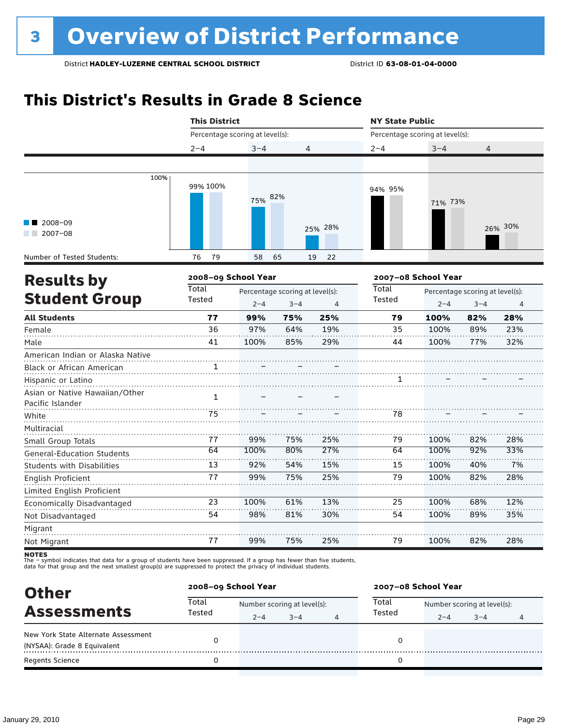### **This District's Results in Grade 8 Science**

|                                                    | <b>This District</b>            |                                                            |     | <b>NY State Public</b> |                 |                                                            |     |         |
|----------------------------------------------------|---------------------------------|------------------------------------------------------------|-----|------------------------|-----------------|------------------------------------------------------------|-----|---------|
|                                                    | Percentage scoring at level(s): |                                                            |     |                        |                 | Percentage scoring at level(s):                            |     |         |
|                                                    | $2 - 4$                         | $3 - 4$                                                    | 4   |                        | $2 - 4$         | $3 - 4$                                                    | 4   |         |
|                                                    |                                 |                                                            |     |                        |                 |                                                            |     |         |
| 100%                                               | 99% 100%                        | 75% 82%                                                    |     |                        | 94% 95%         | 71% 73%                                                    |     |         |
| 2008-09<br>$2007 - 08$                             |                                 |                                                            |     | 25% 28%                |                 |                                                            |     | 26% 30% |
| Number of Tested Students:                         | 79<br>76                        | 58                                                         | 65  | 19<br>22               |                 |                                                            |     |         |
| <b>Results by</b>                                  |                                 | 2008-09 School Year                                        |     |                        |                 | 2007-08 School Year                                        |     |         |
| <b>Student Group</b>                               | Total<br>Tested                 | Percentage scoring at level(s):<br>$2 - 4$<br>$3 - 4$<br>4 |     |                        | Total<br>Tested | Percentage scoring at level(s):<br>$3 - 4$<br>$2 - 4$<br>4 |     |         |
| <b>All Students</b>                                | 77                              | 99%                                                        | 75% | 25%                    | 79              | 100%                                                       | 82% | 28%     |
| Female                                             | 36                              | 97%                                                        | 64% | 19%                    | 35              | 100%                                                       | 89% | 23%     |
| Male                                               | 41                              | 100%                                                       | 85% | 29%                    | 44              | 100%                                                       | 77% | 32%     |
| American Indian or Alaska Native                   |                                 |                                                            |     |                        |                 |                                                            |     |         |
| Black or African American                          |                                 |                                                            |     |                        |                 |                                                            |     |         |
| Hispanic or Latino                                 |                                 |                                                            |     |                        | 1               |                                                            |     |         |
| Asian or Native Hawaiian/Other<br>Pacific Islander | $\mathbf{1}$                    |                                                            |     |                        |                 |                                                            |     |         |
| White                                              | 75                              |                                                            |     |                        | 78              |                                                            |     |         |
| Multiracial                                        |                                 |                                                            |     |                        |                 |                                                            |     |         |
| Small Group Totals                                 | 77                              | 99%                                                        | 75% | 25%                    | 79              | 100%                                                       | 82% | 28%     |
| <b>General-Education Students</b>                  | 64                              | 100%                                                       | 80% | 27%                    | 64              | 100%                                                       | 92% | 33%     |
| Students with Disabilities                         | 13                              | 92%                                                        | 54% | 15%                    | 15              | 100%                                                       | 40% | 7%      |
| English Proficient                                 | 77                              | 99%                                                        | 75% | 25%                    | 79              | 100%                                                       | 82% | 28%     |
| Limited English Proficient                         |                                 |                                                            |     |                        |                 |                                                            |     |         |
| Economically Disadvantaged                         | 23                              | 100%                                                       | 61% | 13%                    | 25              | 100%                                                       | 68% | 12%     |
| Not Disadvantaged                                  | 54                              | 98%                                                        | 81% | 30%                    | 54              | 100%                                                       | 89% | 35%     |
| Migrant<br>Not Migrant                             | 77                              | 99%                                                        | 75% | 25%                    | 79              | 100%                                                       | 82% | 28%     |

| <b>Other</b>                                                       | 2008-09 School Year |                             |         |   | 2007-08 School Year |                             |         |   |  |
|--------------------------------------------------------------------|---------------------|-----------------------------|---------|---|---------------------|-----------------------------|---------|---|--|
| <b>Assessments</b>                                                 | Total<br>Tested     | Number scoring at level(s): |         |   | Total<br>Tested     | Number scoring at level(s): |         |   |  |
| New York State Alternate Assessment<br>(NYSAA): Grade 8 Equivalent |                     | $2 - 4$                     | $3 - 4$ | 4 |                     | $2 - 4$                     | $3 - 4$ | 4 |  |
| <b>Regents Science</b>                                             |                     |                             |         |   |                     |                             |         |   |  |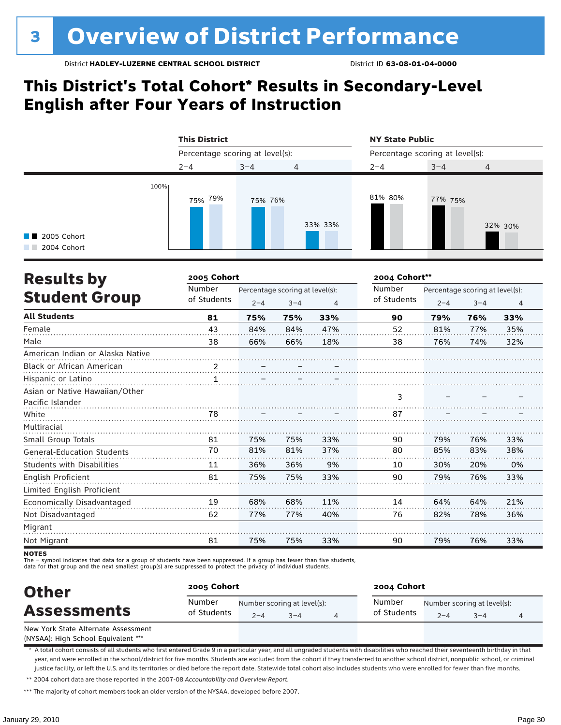### **This District's Total Cohort\* Results in Secondary-Level English after Four Years of Instruction**

|                                             | <b>This District</b>            |         |                | <b>NY State Public</b><br>Percentage scoring at level(s): |         |                |  |
|---------------------------------------------|---------------------------------|---------|----------------|-----------------------------------------------------------|---------|----------------|--|
|                                             | Percentage scoring at level(s): |         |                |                                                           |         |                |  |
|                                             | $2 - 4$                         | $3 - 4$ | $\overline{4}$ | $2 - 4$                                                   | $3 - 4$ | $\overline{4}$ |  |
| 100%<br><b>1</b> 2005 Cohort<br>2004 Cohort | <sub>75%</sub> 79%              | 75% 76% | 33% 33%        | 81% 80%                                                   | 77% 75% | 32% 30%        |  |

| <b>Results by</b>                 | 2005 Cohort |                                 |         |     | 2004 Cohort** |         |                                 |                |  |
|-----------------------------------|-------------|---------------------------------|---------|-----|---------------|---------|---------------------------------|----------------|--|
|                                   | Number      | Percentage scoring at level(s): |         |     | Number        |         | Percentage scoring at level(s): |                |  |
| <b>Student Group</b>              | of Students | $2 - 4$                         | $3 - 4$ | 4   | of Students   | $2 - 4$ | $3 - 4$                         | $\overline{4}$ |  |
| <b>All Students</b>               | 81          | 75%                             | 75%     | 33% | 90            | 79%     | 76%                             | 33%            |  |
| Female                            | 43          | 84%                             | 84%     | 47% | 52            | 81%     | 77%                             | 35%            |  |
| Male                              | 38          | 66%                             | 66%     | 18% | 38            | 76%     | 74%                             | 32%            |  |
| American Indian or Alaska Native  |             |                                 |         |     |               |         |                                 |                |  |
| <b>Black or African American</b>  |             |                                 |         |     |               |         |                                 |                |  |
| Hispanic or Latino                |             |                                 |         |     |               |         |                                 |                |  |
| Asian or Native Hawaiian/Other    |             |                                 |         |     |               |         |                                 |                |  |
| Pacific Islander                  |             |                                 |         |     | 3             |         |                                 |                |  |
| White                             | 78          |                                 |         |     | 87            |         |                                 |                |  |
| Multiracial                       |             |                                 |         |     |               |         |                                 |                |  |
| Small Group Totals                | 81          | 75%                             | 75%     | 33% | 90            | 79%     | 76%                             | 33%            |  |
| <b>General-Education Students</b> | 70          | 81%                             | 81%     | 37% | 80            | 85%     | 83%                             | 38%            |  |
| <b>Students with Disabilities</b> | 11          | 36%                             | 36%     | 9%  | 10            | 30%     | 20%                             | 0%             |  |
| English Proficient                | 81          | 75%                             | 75%     | 33% | 90            | 79%     | 76%                             | 33%            |  |
| Limited English Proficient        |             |                                 |         |     |               |         |                                 |                |  |
| Economically Disadvantaged        | 19          | 68%                             | 68%     | 11% | 14            | 64%     | 64%                             | 21%            |  |
| Not Disadvantaged                 | 62          | 77%                             | 77%     | 40% | 76            | 82%     | 78%                             | 36%            |  |
| Migrant                           |             |                                 |         |     |               |         |                                 |                |  |
| Not Migrant                       | 81          | 75%                             | 75%     | 33% | 90            | 79%     | 76%                             | 33%            |  |

**NOTES** 

The – symbol indicates that data for a group of students have been suppressed. If a group has fewer than five students,

data for that group and the next smallest group(s) are suppressed to protect the privacy of individual students.

| <b>Other</b><br><b>Assessments</b>  | 2005 Cohort           |         |                                        | 2004 Cohort           |         |                                        |  |  |
|-------------------------------------|-----------------------|---------|----------------------------------------|-----------------------|---------|----------------------------------------|--|--|
|                                     | Number<br>of Students | $2 - 4$ | Number scoring at level(s):<br>$3 - 4$ | Number<br>of Students | $2 - 4$ | Number scoring at level(s):<br>$3 - 4$ |  |  |
| New York State Alternate Assessment |                       |         |                                        |                       |         |                                        |  |  |

(NYSAA): High School Equivalent \*\*\*

\* A total cohort consists of all students who first entered Grade 9 in a particular year, and all ungraded students with disabilities who reached their seventeenth birthday in that year, and were enrolled in the school/district for five months. Students are excluded from the cohort if they transferred to another school district, nonpublic school, or criminal justice facility, or left the U.S. and its territories or died before the report date. Statewide total cohort also includes students who were enrolled for fewer than five months.

\*\* 2004 cohort data are those reported in the 2007-08 *Accountability and Overview Report*.

\*\*\* The majority of cohort members took an older version of the NYSAA, developed before 2007.